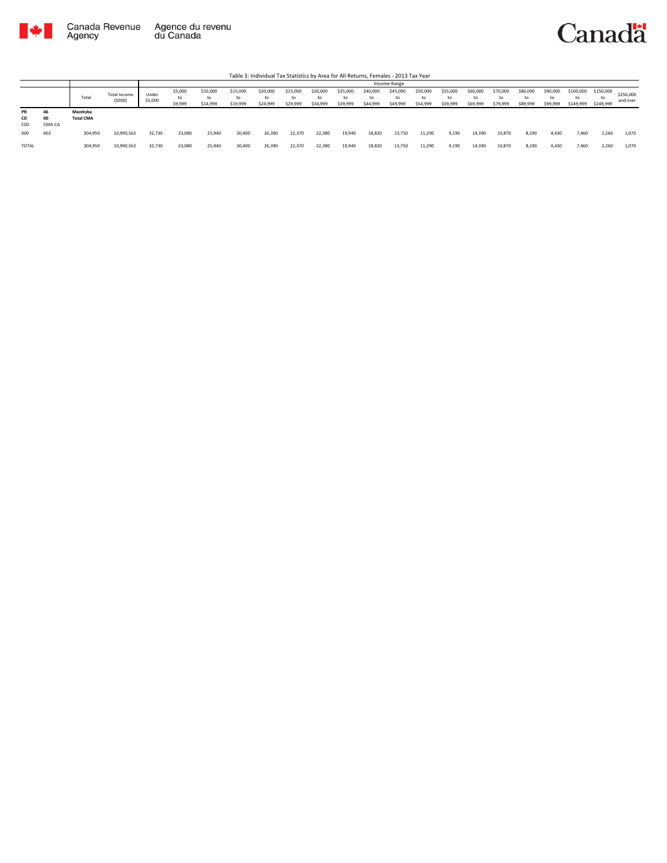



|                 |                    |                              |                               |                  |                          |                            |                            |                            |                            |                            |                      |                            | Income Range               |                            |                            |                            |                            |                            |                            |                              |                        |                       |
|-----------------|--------------------|------------------------------|-------------------------------|------------------|--------------------------|----------------------------|----------------------------|----------------------------|----------------------------|----------------------------|----------------------|----------------------------|----------------------------|----------------------------|----------------------------|----------------------------|----------------------------|----------------------------|----------------------------|------------------------------|------------------------|-----------------------|
|                 |                    | Total                        | <b>Total Income</b><br>(5000) | Under<br>\$5,000 | \$5,000<br>to<br>\$9,999 | \$10,000<br>to<br>\$14,999 | \$15,000<br>to<br>\$19,999 | \$20,000<br>to<br>\$24,999 | \$25,000<br>to<br>\$29,999 | \$30,000<br>to<br>\$34,999 | \$35,000<br>\$39,999 | \$40,000<br>to<br>\$44,999 | \$45,000<br>to<br>\$49,999 | \$50,000<br>to<br>\$54,999 | \$55,000<br>to<br>\$59,999 | \$60,000<br>to<br>\$69,999 | \$70,000<br>to<br>\$79,999 | \$80,000<br>to<br>\$89,999 | \$90,000<br>to<br>\$99,999 | \$100,000<br>to<br>\$149,999 | \$150,000<br>\$249,999 | \$250,000<br>and over |
| PR<br>CD<br>CSD | 46<br>00<br>CMA-CA | Manitoba<br><b>Total CMA</b> |                               |                  |                          |                            |                            |                            |                            |                            |                      |                            |                            |                            |                            |                            |                            |                            |                            |                              |                        |                       |
| 000             | 602                | 304,950                      | 10,990,563                    | 32,730           | 23,080                   | 25,940                     | 30,400                     | 26,390                     | 22,370                     | 22,380                     | 19,940               | 18,820                     | 13,750                     | 11,290                     | 9,190                      | 14,390                     | 10,870                     | 8,190                      | 4,430                      | 7,460                        | 2,260                  | 1,070                 |
| <b>TOTAL</b>    |                    | 304,950                      | 10,990,563                    | 32,730           | 23,080                   | 25,940                     | 30,400                     | 26,390                     | 22,370                     | 22,380                     | 19,940               | 18,820                     | 13,750                     | 11,290                     | 9,190                      | 14,390                     | 10,870                     | 8,190                      | 4,430                      | 7,460                        | 2,260                  | 1,070                 |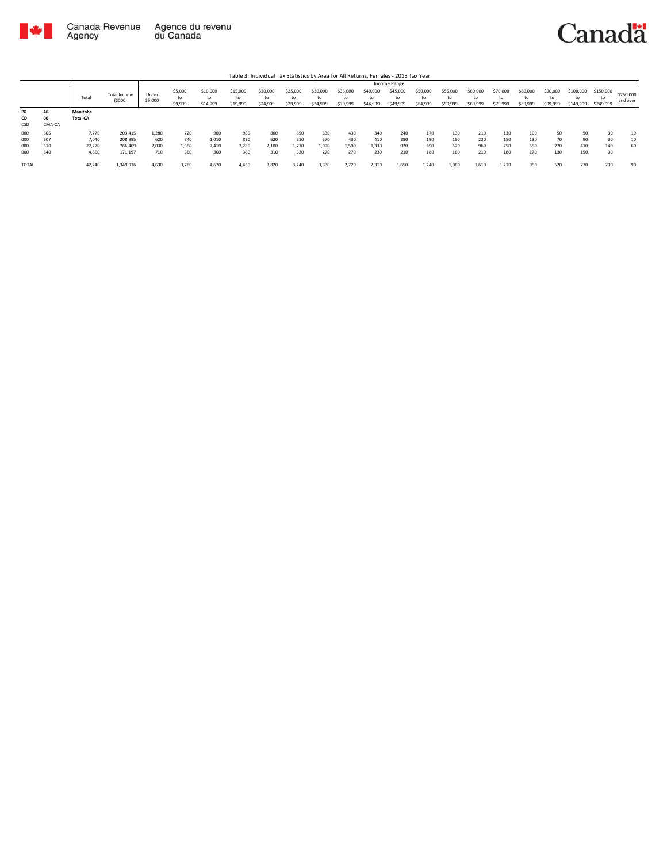



|                 |                    |                             |                               |                  |                          |                            |                            | Table 3: Individual Tax Statistics by Area for All Returns, Females - 2013 Tax Year |                            |                      |                            |                            |                            |                            |                            |                            |                            |                            |                      |                        |                              |                       |
|-----------------|--------------------|-----------------------------|-------------------------------|------------------|--------------------------|----------------------------|----------------------------|-------------------------------------------------------------------------------------|----------------------------|----------------------|----------------------------|----------------------------|----------------------------|----------------------------|----------------------------|----------------------------|----------------------------|----------------------------|----------------------|------------------------|------------------------------|-----------------------|
|                 |                    |                             |                               |                  |                          |                            |                            |                                                                                     |                            |                      |                            |                            | Income Range               |                            |                            |                            |                            |                            |                      |                        |                              |                       |
|                 |                    | Total                       | <b>Total Income</b><br>(5000) | Under<br>\$5,000 | \$5,000<br>to<br>\$9,999 | \$10,000<br>to<br>\$14,999 | \$15,000<br>to<br>\$19,999 | \$20,000<br>to<br>\$24,999                                                          | \$25,000<br>to<br>\$29,999 | \$30,000<br>\$34,999 | \$35,000<br>to<br>\$39,999 | \$40,000<br>to<br>\$44,999 | \$45,000<br>to<br>\$49,999 | \$50,000<br>to<br>\$54,999 | \$55,000<br>to<br>\$59,999 | \$60,000<br>to<br>\$69,999 | \$70,000<br>to<br>\$79,999 | \$80,000<br>to<br>\$89,999 | \$90,000<br>\$99,999 | \$100,000<br>\$149,999 | \$150,000<br>to<br>\$249,999 | \$250,000<br>and over |
| PR<br>CD<br>CSD | 46<br>00<br>CMA-CA | Manitoba<br><b>Total CA</b> |                               |                  |                          |                            |                            |                                                                                     |                            |                      |                            |                            |                            |                            |                            |                            |                            |                            |                      |                        |                              |                       |
| 000<br>000      | 605<br>607         | 7,770<br>7.040              | 203.415<br>208,895            | 1.280<br>620     | 720<br>740               | 900<br>1.010               | 980<br>820                 | 800<br>620                                                                          | 650<br>510                 | 530<br>570           | 430<br>430                 | 340<br>410                 | 240<br>290                 | 170<br>190                 | 130<br>150                 | 210<br>230                 | 130<br>150                 | 100<br>130                 | 50<br>70             | 90<br>90               | 30<br>30                     | 10<br>10              |
| 000<br>000      | 610<br>640         | 22,770<br>4,660             | 766,409<br>171,197            | 2.030<br>710     | 1.950<br>360             | 2.410<br>360               | 2.280<br>380               | 2,100<br>310                                                                        | 1.770<br>320               | 1,970<br>270         | 1.590<br>270               | 1.330<br>230               | 920<br>210                 | 690<br>180                 | 620<br>160                 | 960<br>210                 | 750<br>180                 | 550<br>170                 | 270<br>130           | 410<br>190             | 140<br>30                    | 60                    |
| <b>TOTAL</b>    |                    | 42,240                      | 1,349,916                     | 4.630            | 3.760                    | 4.670                      | 4.450                      | 3,820                                                                               | 3.240                      | 3,330                | 2.720                      | 2.310                      | 1,650                      | 1.240                      | 1.060                      | 1.610                      | 1.210                      | 950                        | 520                  | 770                    | 230                          | 90                    |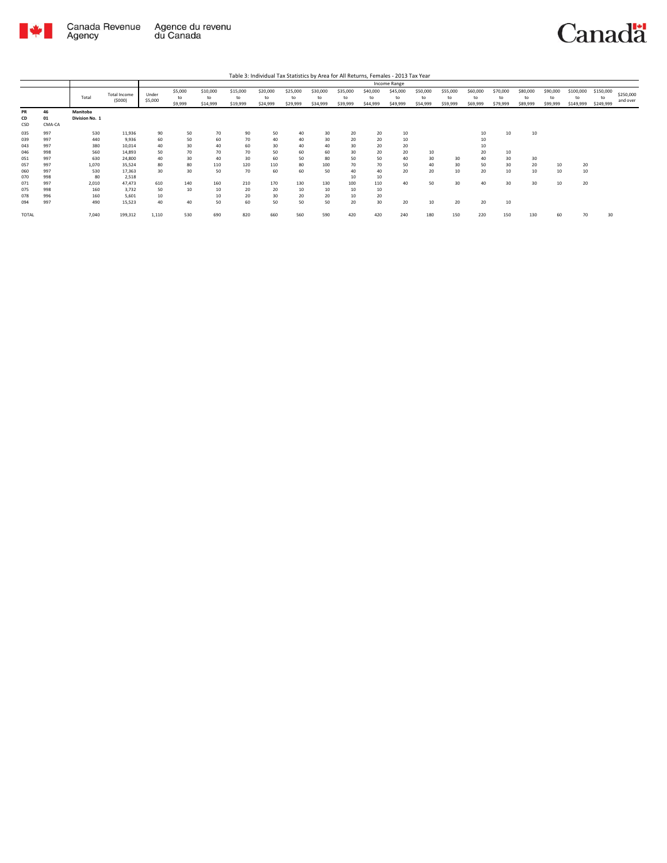

|                        |                    |                            |                        |                  |                          |                            |                            |                            |                            |                            |                            |                            | Income Range               |                            |                            |                            |                            |                            |                            |                              |                              |                       |
|------------------------|--------------------|----------------------------|------------------------|------------------|--------------------------|----------------------------|----------------------------|----------------------------|----------------------------|----------------------------|----------------------------|----------------------------|----------------------------|----------------------------|----------------------------|----------------------------|----------------------------|----------------------------|----------------------------|------------------------------|------------------------------|-----------------------|
|                        |                    | Total                      | Total Income<br>(5000) | Under<br>\$5,000 | \$5,000<br>to<br>\$9,999 | \$10,000<br>to<br>\$14,999 | \$15,000<br>to<br>\$19,999 | \$20,000<br>to<br>\$24,999 | \$25,000<br>to<br>\$29,999 | \$30,000<br>to<br>\$34,999 | \$35,000<br>to<br>\$39,999 | \$40,000<br>to<br>\$44,999 | \$45,000<br>to<br>\$49,999 | \$50,000<br>to<br>\$54,999 | \$55,000<br>to<br>\$59,999 | \$60,000<br>to<br>\$69,999 | \$70,000<br>to<br>\$79,999 | \$80,000<br>to<br>\$89,999 | \$90,000<br>to<br>\$99,999 | \$100,000<br>to<br>\$149,999 | \$150,000<br>to<br>\$249,999 | \$250,000<br>and over |
| <b>PR</b><br>CD<br>CSD | 46<br>01<br>CMA-CA | Manitoba<br>Division No. 1 |                        |                  |                          |                            |                            |                            |                            |                            |                            |                            |                            |                            |                            |                            |                            |                            |                            |                              |                              |                       |
| 035                    | 997                | 530                        | 11,936                 | 90               | 50                       | 70                         | 90                         | 50                         | 40                         | 30                         | 20                         | 20                         | 10                         |                            |                            | 10                         | 10                         | 10                         |                            |                              |                              |                       |
| 039                    | 997                | 440                        | 9,936                  | 60               | 50                       | 60                         | 70                         | 40                         | 40                         | 30                         | 20                         | 20                         | 10                         |                            |                            | 10                         |                            |                            |                            |                              |                              |                       |
| 043                    | 997                | 380                        | 10,014                 | 40               | 30                       | 40                         | 60                         | 30                         | 40                         | 40                         | 30                         | 20                         | 20                         |                            |                            | 10                         |                            |                            |                            |                              |                              |                       |
| 046                    | 998                | 560                        | 14,893                 | 50               | 70                       | 70                         | 70                         | 50                         | 60                         | 60                         | 30                         | 20                         | 20                         | 10                         |                            | 20                         | 10                         |                            |                            |                              |                              |                       |
| 051                    | 997                | 630                        | 24,800                 | 40               | 30                       | 40                         | 30                         | 60                         | 50                         | 80                         | 50                         | 50                         | 40                         | 30                         | 30                         | 40                         | 30                         | 30                         |                            |                              |                              |                       |
| 057                    | 997                | 1,070                      | 35,524                 | 80               | 80                       | 110                        | 120                        | 110                        | 80                         | 100                        | 70                         | 70                         | 50                         | 40                         | 30                         | 50                         | 30                         | 20                         | 10                         | 20                           |                              |                       |
| 060                    | 997                | 530                        | 17,363                 | 30               | 30                       | 50                         | 70                         | 60                         | 60                         | 50                         | 40                         | 40                         | 20                         | 20                         | 10                         | 20                         | 10                         | 10                         | 10                         | 10                           |                              |                       |
| 070                    | 998                | 80                         | 2,518                  |                  |                          |                            |                            |                            |                            |                            | 10                         | 10                         |                            |                            |                            |                            |                            |                            |                            |                              |                              |                       |
| 071                    | 997                | 2,010                      | 47,473                 | 610              | 140                      | 160                        | 210                        | 170                        | 130                        | 130                        | 100                        | 110                        | 40                         | 50                         | 30                         | 40                         | 30                         | 30                         | 10                         | 20                           |                              |                       |
| 075                    | 998                | 160                        | 3,732                  | 50               | 10                       | 10                         | 20                         | 20                         | 10                         | 10                         | 10                         | 10                         |                            |                            |                            |                            |                            |                            |                            |                              |                              |                       |
| 078                    | 996                | 160                        | 5,601                  | 10               |                          | 10                         | 20                         | 30                         | 20                         | 20                         | 10                         | 20                         |                            |                            |                            |                            |                            |                            |                            |                              |                              |                       |
| 094                    | 997                | 490                        | 15,523                 | 40               | 40                       | 50                         | 60                         | 50                         | 50                         | 50                         | 20                         | 30                         | 20                         | 10                         | 20                         | 20                         | 10                         |                            |                            |                              |                              |                       |
| TOTAL                  |                    | 7,040                      | 199,312                | 1,110            | 530                      | 690                        | 820                        | 660                        | 560                        | 590                        | 420                        | 420                        | 240                        | 180                        | 150                        | 220                        | 150                        | 130                        | 60                         | 70                           | 30                           |                       |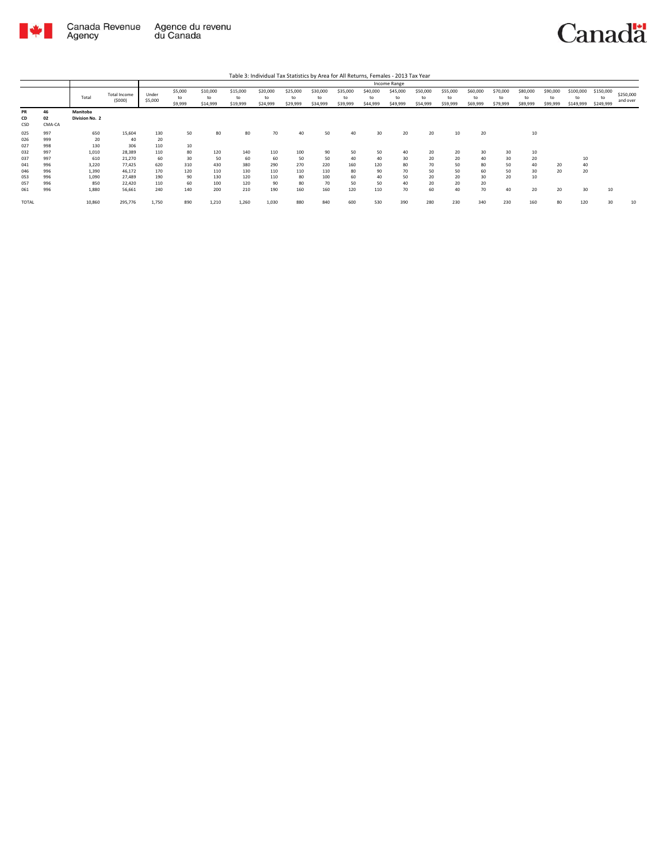

|                        |                    |                            |                               |                  |                          |                            |                            | Table 3: Individual Tax Statistics by Area for All Returns, Females - 2013 Tax Year |                            |                            |                            |                            |                            |                            |                            |                            |                            |                            |                            |                              |                              |                       |
|------------------------|--------------------|----------------------------|-------------------------------|------------------|--------------------------|----------------------------|----------------------------|-------------------------------------------------------------------------------------|----------------------------|----------------------------|----------------------------|----------------------------|----------------------------|----------------------------|----------------------------|----------------------------|----------------------------|----------------------------|----------------------------|------------------------------|------------------------------|-----------------------|
|                        |                    |                            |                               |                  |                          |                            |                            |                                                                                     |                            |                            |                            |                            | Income Range               |                            |                            |                            |                            |                            |                            |                              |                              |                       |
|                        |                    | Total                      | <b>Total Income</b><br>(5000) | Under<br>\$5,000 | \$5,000<br>to<br>\$9,999 | \$10,000<br>to<br>\$14,999 | \$15,000<br>to<br>\$19,999 | \$20,000<br>to<br>\$24,999                                                          | \$25,000<br>to<br>\$29,999 | \$30,000<br>to<br>\$34,999 | \$35,000<br>to<br>\$39,999 | \$40,000<br>to<br>\$44,999 | \$45,000<br>to<br>\$49,999 | \$50,000<br>to<br>\$54,999 | \$55,000<br>to<br>\$59,999 | \$60,000<br>to<br>\$69,999 | \$70,000<br>to<br>\$79,999 | \$80,000<br>to<br>\$89,999 | \$90,000<br>to<br>\$99,999 | \$100,000<br>to<br>\$149,999 | \$150,000<br>to<br>\$249,999 | \$250,000<br>and over |
| <b>PR</b><br>CD<br>CSD | 46<br>02<br>CMA-CA | Manitoba<br>Division No. 2 |                               |                  |                          |                            |                            |                                                                                     |                            |                            |                            |                            |                            |                            |                            |                            |                            |                            |                            |                              |                              |                       |
| 025<br>026             | 997<br>999         | 650<br>20                  | 15,604<br>40                  | 130<br>20        | 50                       | 80                         | 80                         | 70                                                                                  | 40                         | 50                         | 40                         | 30                         | 20                         | 20                         | 10                         | 20                         |                            | 10                         |                            |                              |                              |                       |
| 027<br>032             | 998<br>997         | 130<br>1.010               | 306<br>28.389                 | 110<br>110       | 10<br>80                 | 120                        | 140                        | 110                                                                                 | 100                        | 90                         | 50                         | 50                         | 40                         | 20                         | 20                         | 30                         | 30                         | 10                         |                            |                              |                              |                       |
| 037<br>041             | 997<br>996         | 610<br>3.220               | 21,270<br>77.425              | 60<br>620        | 30<br>310                | 50<br>430                  | 60<br>380                  | 60<br>290                                                                           | 50<br>270                  | 50<br>220                  | 40<br>160                  | 40<br>120                  | 30<br>80                   | 20<br>70                   | 20<br>50                   | 40<br>80                   | 30<br>50                   | 20<br>40                   | 20                         | 10<br>40                     |                              |                       |
| 046<br>053             | 996<br>996         | 1,390<br>1.090             | 46.172<br>27,489              | 170<br>190       | 120<br>90                | 110<br>130                 | 130<br>120                 | 110<br>110                                                                          | 110<br>80                  | 110<br>100                 | 80<br>60                   | 90<br>40                   | 70<br>50                   | 50<br>20                   | 50<br>20                   | 60<br>30                   | 50<br>20                   | 30<br>10                   | 20                         | 20                           |                              |                       |
| 057<br>061             | 996<br>996         | 850<br>1.880               | 22,420<br>56,661              | 110<br>240       | 60<br>140                | 100<br>200                 | 120<br>210                 | 90<br>190                                                                           | 80<br>160                  | 70<br>160                  | 50<br>120                  | 50<br>110                  | 40<br>70                   | 20<br>60                   | 20<br>40                   | 20<br>70                   | 40                         | 20                         | 20                         | 30                           | 10                           |                       |
| TOTAL                  |                    | 10,860                     | 295,776                       | 1,750            | 890                      | 1,210                      | 1.260                      | 1,030                                                                               | 880                        | 840                        | 600                        | 530                        | 390                        | 280                        | 230                        | 340                        | 230                        | 160                        | 80                         | 120                          | 30                           | 10                    |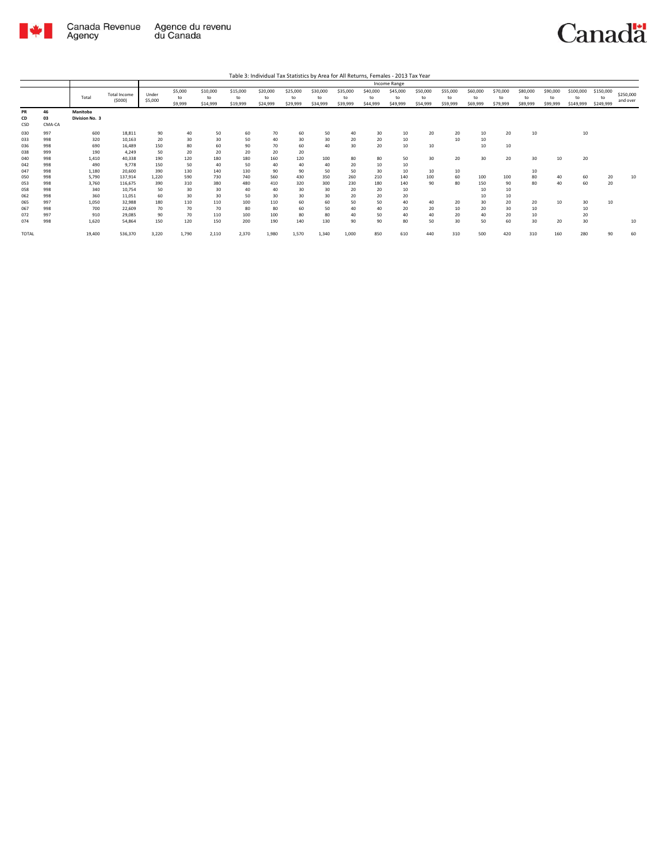

|                                 |                                 |                                     |                                                |                              |                              |                               |                               |                               |                             |                             |                            |                            | Income Range               |                            |                            |                            |                            |                            |                            |                              |                              |                       |
|---------------------------------|---------------------------------|-------------------------------------|------------------------------------------------|------------------------------|------------------------------|-------------------------------|-------------------------------|-------------------------------|-----------------------------|-----------------------------|----------------------------|----------------------------|----------------------------|----------------------------|----------------------------|----------------------------|----------------------------|----------------------------|----------------------------|------------------------------|------------------------------|-----------------------|
|                                 |                                 | Total                               | <b>Total Income</b><br>(5000)                  | Under<br>\$5,000             | \$5,000<br>to<br>\$9,999     | \$10,000<br>to<br>\$14,999    | \$15,000<br>to<br>\$19,999    | \$20,000<br>to<br>\$24,999    | \$25,000<br>to<br>\$29,999  | \$30,000<br>to<br>\$34,999  | \$35,000<br>to<br>\$39,999 | \$40,000<br>to<br>\$44,999 | \$45,000<br>to<br>\$49,999 | \$50,000<br>to<br>\$54,999 | \$55,000<br>to<br>\$59,999 | \$60,000<br>to<br>\$69,999 | \$70,000<br>to<br>\$79,999 | \$80,000<br>to<br>\$89,999 | \$90,000<br>to<br>\$99,999 | \$100,000<br>to<br>\$149,999 | \$150,000<br>to<br>\$249,999 | \$250,000<br>and over |
| PR<br>CD<br>CSD                 | 46<br>03<br>CMA-CA              | Manitoba<br>Division No. 3          |                                                |                              |                              |                               |                               |                               |                             |                             |                            |                            |                            |                            |                            |                            |                            |                            |                            |                              |                              |                       |
| 030<br>033<br>036<br>038        | 997<br>998<br>998<br>999        | 600<br>320<br>690<br>190            | 18.811<br>10,163<br>16.489<br>4.249            | 90<br>20<br>150<br>50        | 40<br>30<br>80<br>20         | 50<br>30<br>60<br>20          | 60<br>50<br>90<br>20          | 70<br>40<br>70<br>20          | 60<br>30<br>60<br>20        | 50<br>30<br>40              | 40<br>20<br>30             | 30<br>20<br>20             | 10<br>10<br>10             | 20<br>10                   | 20<br>10                   | 10<br>10<br>10             | 20<br>10                   | 10                         |                            | 10                           |                              |                       |
| 040<br>042<br>047               | 998<br>998<br>998               | 1,410<br>490<br>1,180               | 40,338<br>9.778<br>20,600                      | 190<br>150<br>390            | 120<br>50<br>130             | 180<br>40<br>140              | 180<br>50<br>130              | 160<br>40<br>90               | 120<br>40<br>90             | 100<br>40<br>50             | 80<br>20<br>50             | 80<br>10<br>30             | 50<br>10<br>10             | 30<br>10                   | 20<br>10                   | 30                         | 20                         | 30<br>10                   | 10                         | 20                           |                              |                       |
| 050<br>053<br>058               | 998<br>998<br>998               | 5,790<br>3,760<br>340               | 137,914<br>116.675<br>10.754                   | 1.220<br>390<br>50           | 590<br>310<br>30             | 730<br>380<br>30              | 740<br>480<br>40              | 560<br>410<br>40              | 430<br>320<br>30            | 350<br>300<br>30            | 260<br>230<br>20           | 210<br>180<br>20           | 140<br>140<br>10           | 100<br>90                  | 60<br>80                   | 100<br>150<br>10           | 100<br>90<br>10            | 80<br>80                   | 40<br>40                   | 60<br>60                     | 20<br>20                     | 10                    |
| 062<br>065<br>067<br>072<br>074 | 998<br>997<br>998<br>997<br>998 | 360<br>1,050<br>700<br>910<br>1,620 | 11,051<br>32,988<br>22,609<br>29.085<br>54,864 | 60<br>180<br>70<br>90<br>150 | 30<br>110<br>70<br>70<br>120 | 30<br>110<br>70<br>110<br>150 | 50<br>100<br>80<br>100<br>200 | 30<br>110<br>80<br>100<br>190 | 30<br>60<br>60<br>80<br>140 | 30<br>60<br>50<br>80<br>130 | 20<br>50<br>40<br>40<br>90 | 20<br>50<br>40<br>50<br>90 | 20<br>40<br>20<br>40<br>80 | 40<br>20<br>40<br>50       | 20<br>10<br>20<br>30       | 10<br>30<br>20<br>40<br>50 | 10<br>20<br>30<br>20<br>60 | 20<br>10<br>10<br>30       | 10<br>20                   | 30<br>10<br>20<br>30         | 10                           | 10                    |
| <b>TOTAL</b>                    |                                 | 19,400                              | 536,370                                        | 3,220                        | 1,790                        | 2,110                         | 2,370                         | 1,980                         | 1,570                       | 1,340                       | 1,000                      | 850                        | 610                        | 440                        | 310                        | 500                        | 420                        | 310                        | 160                        | 280                          | 90                           | 60                    |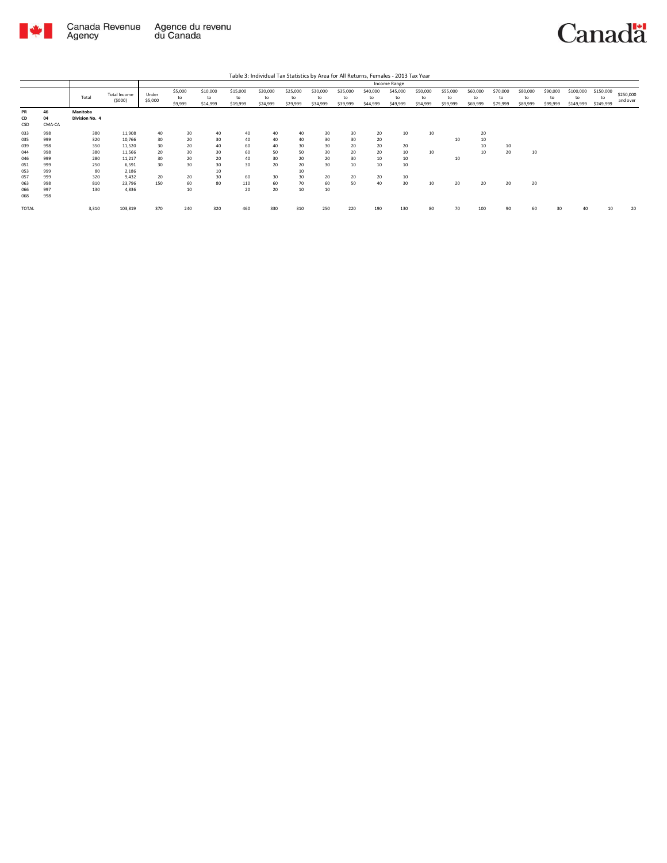

|                        |                    | Table 3: Individual Tax Statistics by Area for All Returns, Females - 2013 Tax Year<br>Income Range |                            |                  |                          |                             |                            |                            |                            |                            |                            |                            |                            |                            |                            |                            |                            |                            |                            |                              |                              |                       |
|------------------------|--------------------|-----------------------------------------------------------------------------------------------------|----------------------------|------------------|--------------------------|-----------------------------|----------------------------|----------------------------|----------------------------|----------------------------|----------------------------|----------------------------|----------------------------|----------------------------|----------------------------|----------------------------|----------------------------|----------------------------|----------------------------|------------------------------|------------------------------|-----------------------|
|                        |                    |                                                                                                     |                            |                  |                          |                             |                            |                            |                            |                            |                            |                            |                            |                            |                            |                            |                            |                            |                            |                              |                              |                       |
|                        |                    | Total                                                                                               | Total Income<br>(5000)     | Under<br>\$5,000 | \$5,000<br>to<br>\$9,999 | \$10,000<br>to<br>\$14,999  | \$15,000<br>to<br>\$19,999 | \$20,000<br>to<br>\$24,999 | \$25,000<br>to<br>\$29,999 | \$30,000<br>to<br>\$34,999 | \$35,000<br>to<br>\$39,999 | \$40,000<br>to<br>\$44,999 | \$45,000<br>to<br>\$49,999 | \$50,000<br>to<br>\$54,999 | \$55,000<br>to<br>\$59,999 | \$60,000<br>to<br>\$69,999 | \$70,000<br>to<br>\$79,999 | \$80,000<br>to<br>\$89,999 | \$90,000<br>to<br>\$99,999 | \$100,000<br>to<br>\$149,999 | \$150,000<br>to<br>\$249,999 | \$250,000<br>and over |
| <b>PR</b><br>CD<br>CSD | 46<br>04<br>CMA-CA | Manitoba<br>Division No. 4                                                                          |                            |                  |                          |                             |                            |                            |                            |                            |                            |                            |                            |                            |                            |                            |                            |                            |                            |                              |                              |                       |
| 033<br>035             | 998<br>999         | 380<br>320                                                                                          | 11,908<br>10.766           | 40<br>30         | 30<br>20                 | 40<br>30                    | 40<br>40                   | 40<br>40                   | 40<br>40                   | 30<br>30                   | 30<br>30 <sup>°</sup>      | 20<br>20                   | 10                         | 10                         | 10                         | 20<br>10                   |                            |                            |                            |                              |                              |                       |
| 039<br>044<br>046      | 998<br>998<br>999  | 350<br>380<br>280                                                                                   | 11,520<br>11,566<br>11,217 | 30<br>20<br>30   | 20<br>30<br>20           | 40<br>30 <sup>2</sup><br>20 | 60<br>60<br>40             | 40<br>50<br>30             | 30<br>50<br>20             | 30<br>30<br>20             | 20<br>20<br>30             | 20<br>20<br>10             | 20<br>10<br>10             | 10                         | 10                         | 10<br>10                   | 10<br>20                   | 10                         |                            |                              |                              |                       |
| 051<br>053             | 999<br>999         | 250<br>80                                                                                           | 6.591<br>2,186             | 30               | 30                       | 30<br>10                    | 30                         | 20                         | 20<br>10                   | 30                         | $10\,$                     | 10                         | 10                         |                            |                            |                            |                            |                            |                            |                              |                              |                       |
| 057<br>063             | 999<br>998         | 320<br>810                                                                                          | 9.432<br>23,796            | 20<br>150        | 20<br>60                 | 30<br>80                    | 60<br>110                  | 30<br>60                   | 30<br>70                   | 20<br>60                   | 20<br>50                   | 20<br>40                   | 10<br>30                   | 10                         | 20                         | 20                         | 20                         | 20                         |                            |                              |                              |                       |
| 066<br>068             | 997<br>998         | 130                                                                                                 | 4.836                      |                  | 10                       |                             | 20                         | 20                         | 10                         | 10                         |                            |                            |                            |                            |                            |                            |                            |                            |                            |                              |                              |                       |
| TOTAL                  |                    | 3,310                                                                                               | 103,819                    | 370              | 240                      | 320                         | 460                        | 330                        | 310                        | 250                        | 220                        | 190                        | 130                        | 80                         | 70                         | 100                        | 90                         | 60                         |                            |                              |                              | 20                    |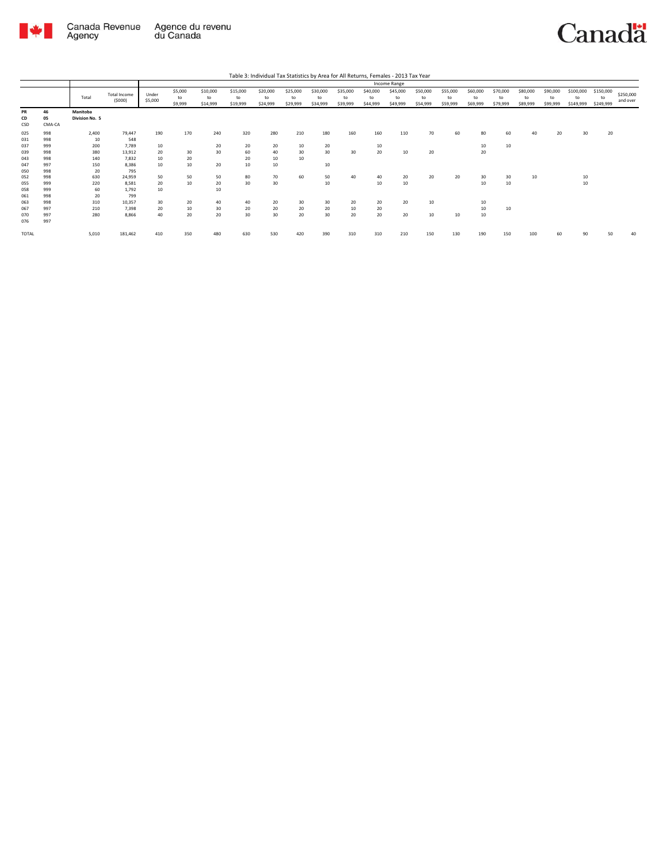

|                        |                    | Table 3: Individual Tax Statistics by Area for All Returns, Females - 2013 Tax Year |                               |                  |                          |                            |                            |                            |                            |                            |                            |                            |                            |                            |                            |                            |                            |                            |                            |                              |                              |                       |
|------------------------|--------------------|-------------------------------------------------------------------------------------|-------------------------------|------------------|--------------------------|----------------------------|----------------------------|----------------------------|----------------------------|----------------------------|----------------------------|----------------------------|----------------------------|----------------------------|----------------------------|----------------------------|----------------------------|----------------------------|----------------------------|------------------------------|------------------------------|-----------------------|
|                        |                    |                                                                                     |                               |                  |                          |                            |                            |                            |                            |                            |                            |                            | Income Range               |                            |                            |                            |                            |                            |                            |                              |                              |                       |
|                        |                    | Total                                                                               | <b>Total Income</b><br>(5000) | Under<br>\$5,000 | \$5,000<br>to<br>\$9,999 | \$10,000<br>to<br>\$14,999 | \$15,000<br>to<br>\$19,999 | \$20,000<br>to<br>\$24,999 | \$25,000<br>to<br>\$29,999 | \$30,000<br>to<br>\$34,999 | \$35,000<br>to<br>\$39,999 | \$40,000<br>to<br>\$44,999 | \$45,000<br>to<br>\$49,999 | \$50,000<br>to<br>\$54,999 | \$55,000<br>to<br>\$59,999 | \$60,000<br>to<br>\$69,999 | \$70,000<br>to<br>\$79,999 | \$80,000<br>to<br>\$89,999 | \$90,000<br>to<br>\$99,999 | \$100,000<br>to<br>\$149,999 | \$150,000<br>to<br>\$249,999 | \$250,000<br>and over |
| <b>PR</b><br>CD<br>CSD | 46<br>05<br>CMA-CA | Manitoba<br>Division No. 5                                                          |                               |                  |                          |                            |                            |                            |                            |                            |                            |                            |                            |                            |                            |                            |                            |                            |                            |                              |                              |                       |
| 025                    | 998                | 2,400                                                                               | 79.447                        | 190              | 170                      | 240                        | 320                        | 280                        | 210                        | 180                        | 160                        | 160                        | 110                        | 70                         | 60                         | 80                         | 60                         | 40                         | 20                         | 30                           | 20                           |                       |
| 031<br>037             | 998<br>999         | 10<br>200                                                                           | 548<br>7.789                  | 10               |                          | 20                         | 20                         | 20                         | 10                         | 20                         |                            | 10                         |                            |                            |                            | 10                         | 10                         |                            |                            |                              |                              |                       |
| 039                    | 998                | 380                                                                                 | 13.912                        | 20               | 30                       | 30                         | 60                         | 40                         | 30                         | 30                         | 30                         | 20                         | 10                         | 20                         |                            | 20                         |                            |                            |                            |                              |                              |                       |
| 043                    | 998                | 140                                                                                 | 7.832                         | 10               | 20                       |                            | 20                         | 10                         | 10                         |                            |                            |                            |                            |                            |                            |                            |                            |                            |                            |                              |                              |                       |
| 047<br>050             | 997<br>998         | 150<br>20                                                                           | 8,386<br>795                  | 10               | 10                       | 20                         | 10                         | 10                         |                            | 10                         |                            |                            |                            |                            |                            |                            |                            |                            |                            |                              |                              |                       |
| 052                    | 998                | 630                                                                                 | 24.959                        | 50               | 50                       | 50                         | 80                         | 70                         | 60                         | 50                         | 40                         | 40                         | 20                         | 20                         | 20                         | 30                         | 30                         | 10                         |                            | 10                           |                              |                       |
| 055                    | 999                | 220                                                                                 | 8.581                         | 20               | 10                       | 20                         | 30 <sub>o</sub>            | 30                         |                            | 10                         |                            | 10                         | 10                         |                            |                            | 10                         | 10                         |                            |                            | 10                           |                              |                       |
| 058<br>061             | 999<br>998         | 60<br>20                                                                            | 1.792<br>799                  | 10               |                          | 10                         |                            |                            |                            |                            |                            |                            |                            |                            |                            |                            |                            |                            |                            |                              |                              |                       |
| 063                    | 998                | 310                                                                                 | 10.357                        | 30               | 20                       | 40                         | 40                         | 20                         | 30                         | 30                         | 20                         | 20                         | 20                         | 10                         |                            | 10                         |                            |                            |                            |                              |                              |                       |
| 067                    | 997                | 210                                                                                 | 7.398                         | 20               | 10                       | 30                         | 20                         | 20                         | 20                         | 20                         | 10                         | 20                         |                            |                            |                            | 10                         | 10                         |                            |                            |                              |                              |                       |
| 070<br>076             | 997<br>997         | 280                                                                                 | 8.866                         | 40               | 20                       | 20                         | 30                         | 30                         | 20                         | 30                         | 20                         | 20                         | 20                         | 10                         | 10                         | 10                         |                            |                            |                            |                              |                              |                       |
| <b>TOTAL</b>           |                    | 5,010                                                                               | 181,462                       | 410              | 350                      | 480                        | 630                        | 530                        | 420                        | 390                        | 310                        | 310                        | 210                        | 150                        | 130                        | 190                        | 150                        | 100                        | 60                         | 90                           | 50                           | 40                    |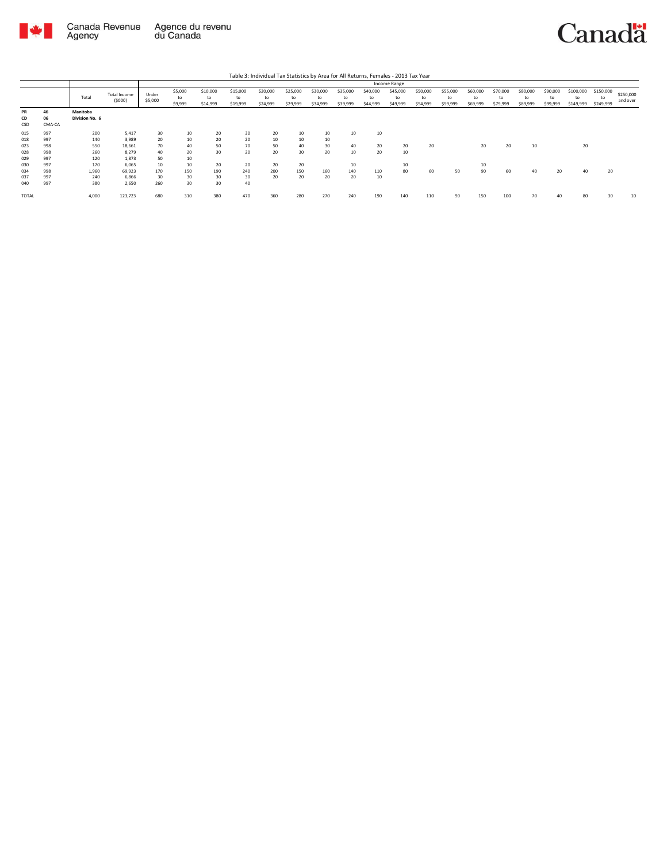

|                        |                    |                            |                        |                  |                          |                            |                            | Table 3: Individual Tax Statistics by Area for All Returns, Females - 2013 Tax Year |                            |                            |                            |                            |                            |                            |                            |                            |                            |                            |                            |                              |                              |                       |
|------------------------|--------------------|----------------------------|------------------------|------------------|--------------------------|----------------------------|----------------------------|-------------------------------------------------------------------------------------|----------------------------|----------------------------|----------------------------|----------------------------|----------------------------|----------------------------|----------------------------|----------------------------|----------------------------|----------------------------|----------------------------|------------------------------|------------------------------|-----------------------|
|                        |                    |                            |                        |                  |                          |                            |                            |                                                                                     |                            |                            |                            |                            | Income Range               |                            |                            |                            |                            |                            |                            |                              |                              |                       |
|                        |                    | Total                      | Total Income<br>(5000) | Under<br>\$5,000 | \$5,000<br>to<br>\$9,999 | \$10,000<br>to<br>\$14,999 | \$15,000<br>to<br>\$19,999 | \$20,000<br>to<br>\$24,999                                                          | \$25,000<br>to<br>\$29,999 | \$30,000<br>to<br>\$34,999 | \$35,000<br>to<br>\$39,999 | \$40,000<br>to<br>\$44,999 | \$45,000<br>to<br>\$49,999 | \$50,000<br>to<br>\$54,999 | \$55,000<br>to<br>\$59,999 | \$60,000<br>to<br>\$69,999 | \$70,000<br>to<br>\$79,999 | \$80,000<br>to<br>\$89,999 | \$90,000<br>to<br>\$99,999 | \$100,000<br>to<br>\$149,999 | \$150,000<br>to<br>\$249,999 | \$250,000<br>and over |
| <b>PR</b><br>CD<br>CSD | 46<br>06<br>CMA-CA | Manitoba<br>Division No. 6 |                        |                  |                          |                            |                            |                                                                                     |                            |                            |                            |                            |                            |                            |                            |                            |                            |                            |                            |                              |                              |                       |
| 015<br>018             | 997<br>997         | 200<br>140                 | 5.417<br>3.989         | 30<br>20         | 10<br>10                 | 20<br>20                   | 30<br>20                   | 20<br>10                                                                            | 10<br>10                   | 10<br>10                   | 10                         | 10                         |                            |                            |                            |                            |                            |                            |                            |                              |                              |                       |
| 023                    | 998                | 550<br>260                 | 18.661<br>8.279        | 70<br>40         | 40<br>20                 | 50<br>30                   | 70<br>20                   | 50<br>20                                                                            | 40<br>30                   | 30<br>20                   | 40                         | 20<br>20                   | 20                         | 20                         |                            | 20                         | 20                         | 10                         |                            | 20                           |                              |                       |
| 028<br>029             | 998<br>997         | 120                        | 1.873                  | 50               | 10                       |                            |                            |                                                                                     |                            |                            | 10                         |                            | 10                         |                            |                            |                            |                            |                            |                            |                              |                              |                       |
| 030<br>034             | 997<br>998         | 170<br>1.960               | 6.065<br>69.923        | 10<br>170        | 10<br>150                | 20<br>190                  | 20<br>240                  | 20<br>200                                                                           | 20<br>150                  | 160                        | 10<br>140                  | 110                        | 10<br>80                   | 60                         | 50                         | 10<br>90                   | 60                         | 40                         | 20                         | 40                           | 20                           |                       |
| 037<br>040             | 997<br>997         | 240<br>380                 | 6.866<br>2.650         | 30<br>260        | 30<br>30                 | 30<br>30                   | 30<br>40                   | 20                                                                                  | 20                         | 20                         | 20                         | 10                         |                            |                            |                            |                            |                            |                            |                            |                              |                              |                       |
| <b>TOTAL</b>           |                    | 4,000                      | 123,723                | 680              | 310                      | 380                        | 470                        | 360                                                                                 | 280                        | 270                        | 240                        | 190                        | 140                        | 110                        | 90                         | 150                        | 100                        |                            |                            | 80                           |                              | 10                    |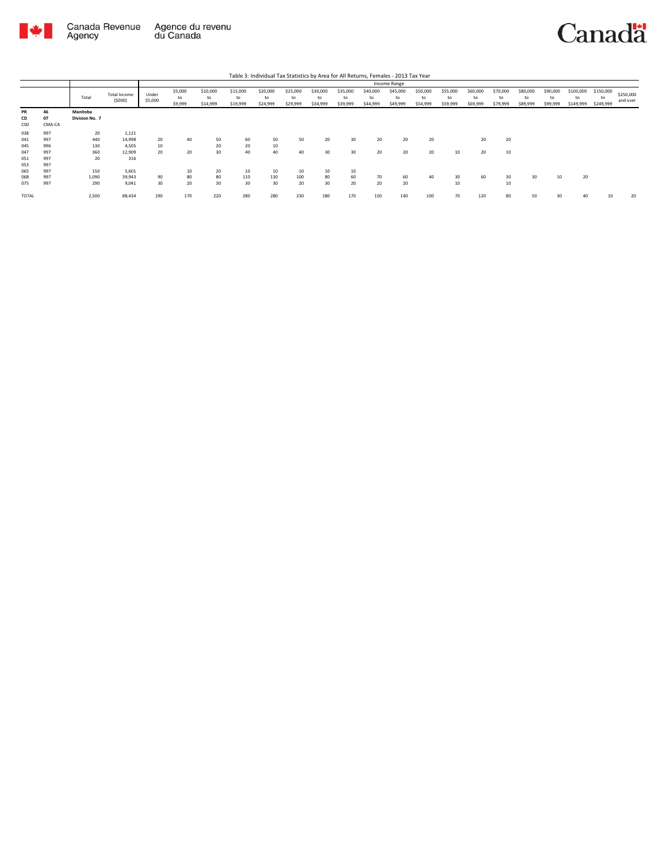

|                 |                    |                            |                        |                  |                          |                            |                            | Table 3: Individual Tax Statistics by Area for All Returns, Females - 2013 Tax Year |                            |                            |                            |                            |                            |                            |                            |                            |                            |                            |                            |                              |                              |                       |
|-----------------|--------------------|----------------------------|------------------------|------------------|--------------------------|----------------------------|----------------------------|-------------------------------------------------------------------------------------|----------------------------|----------------------------|----------------------------|----------------------------|----------------------------|----------------------------|----------------------------|----------------------------|----------------------------|----------------------------|----------------------------|------------------------------|------------------------------|-----------------------|
|                 |                    |                            |                        |                  |                          |                            |                            |                                                                                     |                            |                            |                            |                            | Income Range               |                            |                            |                            |                            |                            |                            |                              |                              |                       |
|                 |                    | Total                      | Total Income<br>(5000) | Under<br>\$5,000 | \$5,000<br>to<br>\$9,999 | \$10,000<br>to<br>\$14,999 | \$15,000<br>to<br>\$19,999 | \$20,000<br>to<br>\$24,999                                                          | \$25,000<br>to<br>\$29,999 | \$30,000<br>to<br>\$34,999 | \$35,000<br>to<br>\$39,999 | \$40,000<br>to<br>\$44,999 | \$45,000<br>to<br>\$49,999 | \$50,000<br>to<br>\$54,999 | \$55,000<br>to<br>\$59,999 | \$60,000<br>to<br>\$69,999 | \$70,000<br>to<br>\$79,999 | \$80,000<br>to<br>\$89,999 | \$90,000<br>to<br>\$99,999 | \$100,000<br>to<br>\$149,999 | \$150,000<br>to<br>\$249,999 | \$250,000<br>and over |
| PR<br>CD<br>CSD | 46<br>07<br>CMA-CA | Manitoba<br>Division No. 7 |                        |                  |                          |                            |                            |                                                                                     |                            |                            |                            |                            |                            |                            |                            |                            |                            |                            |                            |                              |                              |                       |
| 038             | 997                | 20                         | 1,121                  |                  |                          |                            |                            |                                                                                     |                            |                            |                            |                            |                            |                            |                            |                            |                            |                            |                            |                              |                              |                       |
| 041             | 997                | 440                        | 14,998                 | 20               | 40                       | 50                         | 60                         | 50                                                                                  | 50                         | 20                         | 30                         | 20                         | 20                         | 20                         |                            | 20                         | 20                         |                            |                            |                              |                              |                       |
| 045             | 996                | 130                        | 4.505                  | 10               |                          | 20                         | 20                         | 10                                                                                  |                            |                            |                            |                            |                            |                            |                            |                            |                            |                            |                            |                              |                              |                       |
| 047             | 997                | 360                        | 12,909                 | 20               | 20                       | 30                         | 40                         | 40                                                                                  | 40                         | 30                         | 30                         | 20                         | 20                         | 20                         | 10                         | 20                         | 10                         |                            |                            |                              |                              |                       |
| 051             | 997                | 20                         | 316                    |                  |                          |                            |                            |                                                                                     |                            |                            |                            |                            |                            |                            |                            |                            |                            |                            |                            |                              |                              |                       |
| 053             | 997                |                            |                        |                  |                          |                            |                            |                                                                                     |                            |                            |                            |                            |                            |                            |                            |                            |                            |                            |                            |                              |                              |                       |
| 065             | 997                | 150                        | 5,601                  |                  | 10                       | 20                         | 10                         | 10                                                                                  | 10                         | 10                         | 10                         |                            |                            |                            |                            |                            |                            |                            |                            |                              |                              |                       |
| 068             | 997                | 1,090                      | 39.943                 | 90               | 80                       | 80                         | 110                        | 130                                                                                 | 100                        | 80                         | 60                         | 70                         | 60                         | 40                         | 30                         | 60                         | 30                         | 30                         | 10                         | 20                           |                              |                       |
| 075             | 997                | 290                        | 9.041                  | 30               | 20                       | 30                         | 30                         | 30                                                                                  | 20                         | 30                         | 20                         | 20                         | 20                         |                            | 10                         |                            | 10                         |                            |                            |                              |                              |                       |
| <b>TOTAL</b>    |                    | 2,500                      | 88,434                 | 190              | 170                      | 220                        | 280                        | 280                                                                                 | 230                        | 180                        | 170                        | 150                        | 140                        | 100                        | 70                         | 120                        | 80                         | 50                         | 30                         | 40                           | 10                           | 20                    |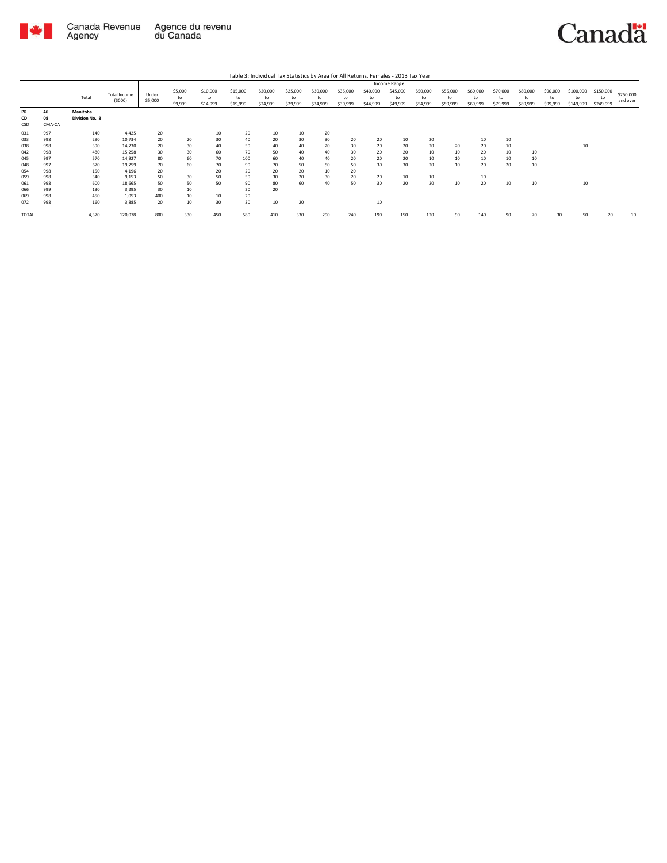

Canada Revenue Agence du revenu<br>Agency du Canada

| Table 3: Individual Tax Statistics by Area for All Returns, Females - 2013 Tax Year |  |
|-------------------------------------------------------------------------------------|--|

|                   |                    |                            |                           |                  |                          |                            |                            |                            |                            |                            |                            |                            | Income Range               |                            |                            |                            |                            |                            |                            |                              |                              |                       |
|-------------------|--------------------|----------------------------|---------------------------|------------------|--------------------------|----------------------------|----------------------------|----------------------------|----------------------------|----------------------------|----------------------------|----------------------------|----------------------------|----------------------------|----------------------------|----------------------------|----------------------------|----------------------------|----------------------------|------------------------------|------------------------------|-----------------------|
|                   |                    | Total                      | Total Income<br>(5000)    | Under<br>\$5,000 | \$5,000<br>to<br>\$9,999 | \$10,000<br>to<br>\$14,999 | \$15,000<br>to<br>\$19,999 | \$20,000<br>to<br>\$24,999 | \$25,000<br>to<br>\$29,999 | \$30,000<br>to<br>\$34,999 | \$35,000<br>to<br>\$39,999 | \$40,000<br>to<br>\$44,999 | \$45,000<br>to<br>\$49,999 | \$50,000<br>to<br>\$54,999 | \$55,000<br>to<br>\$59,999 | \$60,000<br>to<br>\$69,999 | \$70,000<br>to<br>\$79,999 | \$80,000<br>to<br>\$89,999 | \$90,000<br>to<br>\$99,999 | \$100,000<br>to<br>\$149,999 | \$150,000<br>to<br>\$249,999 | \$250,000<br>and over |
| PR<br>CD<br>CSD   | 46<br>08<br>CMA-CA | Manitoba<br>Division No. 8 |                           |                  |                          |                            |                            |                            |                            |                            |                            |                            |                            |                            |                            |                            |                            |                            |                            |                              |                              |                       |
| 031<br>033        | 997<br>998         | 140<br>290                 | 4,425<br>10,734           | 20<br>20         | 20                       | 10<br>30                   | 20<br>40                   | 10<br>20                   | 10<br>30                   | 20<br>30                   | 20                         | 20                         | 10                         | 20                         |                            | 10                         | 10                         |                            |                            |                              |                              |                       |
| 038<br>042        | 998<br>998         | 390<br>480                 | 14,730<br>15,258          | 20<br>30         | 30<br>30                 | 40<br>60                   | 50<br>70                   | 40<br>50                   | 40<br>40                   | 20<br>40                   | 30<br>30                   | 20<br>20                   | 20<br>20                   | 20<br>10                   | 20<br>10                   | 20<br>20                   | 10<br>10                   | 10                         |                            | 10                           |                              |                       |
| 045<br>048<br>054 | 997<br>997<br>998  | 570<br>670<br>150          | 14,927<br>19,759<br>4,196 | 80<br>70<br>20   | 60<br>60                 | 70<br>70<br>20             | 100<br>90<br>20            | 60<br>70<br>20             | 40<br>50<br>20             | 40<br>50<br>10             | 20<br>50<br>20             | 20<br>30                   | 20<br>30                   | 10<br>20                   | 10<br>10                   | 10<br>20                   | 10<br>20                   | 10<br>10                   |                            |                              |                              |                       |
| 059<br>061        | 998<br>998         | 340<br>600                 | 9,153<br>18,665           | 50<br>50         | 30<br>50                 | 50<br>50                   | 50<br>90                   | 30<br>80                   | 20<br>60                   | 30<br>40                   | 20<br>50                   | 20<br>30                   | 10<br>20                   | 10<br>20                   | 10                         | 10<br>20                   | 10                         | 10                         |                            | 10                           |                              |                       |
| 066<br>069<br>072 | 999<br>998<br>998  | 130<br>450<br>160          | 3.295<br>1,053<br>3,885   | 30<br>400<br>20  | 10<br>10<br>10           | 10<br>30                   | 20<br>20<br>30             | 20<br>10                   | 20                         |                            |                            | 10                         |                            |                            |                            |                            |                            |                            |                            |                              |                              |                       |
| TOTAL             |                    | 4,370                      | 120,078                   | 800              | 330                      | 450                        | 580                        | 410                        | 330                        | 290                        | 240                        | 190                        | 150                        | 120                        | 90                         | 140                        | 90                         | 70                         |                            | 50                           | 20                           | 10                    |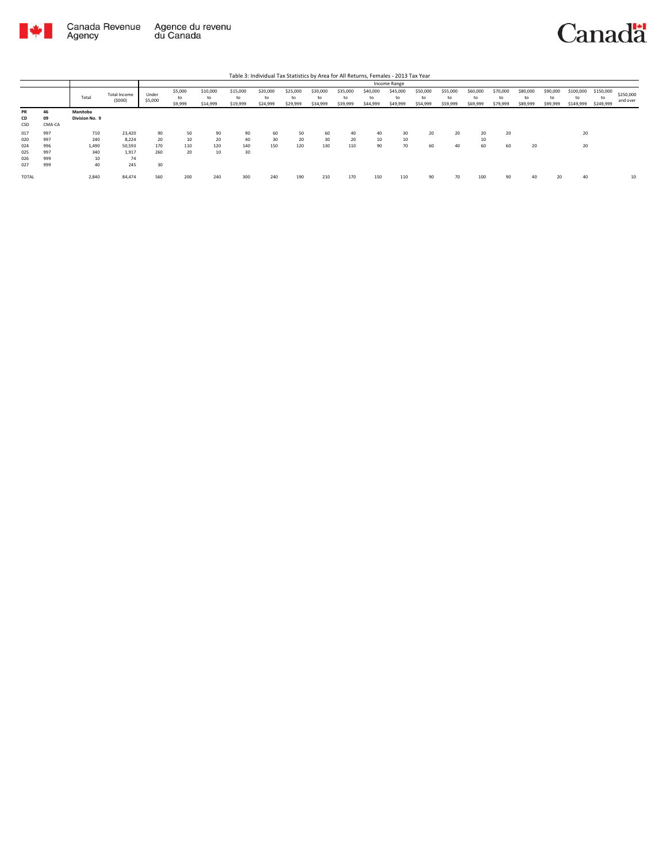

|                        |                    |                            |                        |                  |                          |                            |                            | Table 3: Individual Tax Statistics by Area for All Returns, Females - 2013 Tax Year |                            |                            |                            |                            |                            |                            |                            |                            |                            |                            |                            |                        |                              |                       |
|------------------------|--------------------|----------------------------|------------------------|------------------|--------------------------|----------------------------|----------------------------|-------------------------------------------------------------------------------------|----------------------------|----------------------------|----------------------------|----------------------------|----------------------------|----------------------------|----------------------------|----------------------------|----------------------------|----------------------------|----------------------------|------------------------|------------------------------|-----------------------|
|                        |                    |                            |                        |                  |                          |                            |                            |                                                                                     |                            |                            |                            |                            | Income Range               |                            |                            |                            |                            |                            |                            |                        |                              |                       |
|                        |                    | Total                      | Total Income<br>(5000) | Under<br>\$5,000 | \$5,000<br>to<br>\$9,999 | \$10,000<br>to<br>\$14,999 | \$15,000<br>to<br>\$19,999 | \$20,000<br>to<br>\$24,999                                                          | \$25,000<br>to<br>\$29,999 | \$30,000<br>to<br>\$34,999 | \$35,000<br>to<br>\$39,999 | \$40,000<br>to<br>\$44,999 | \$45,000<br>to<br>\$49,999 | \$50,000<br>to<br>\$54,999 | \$55,000<br>to<br>\$59,999 | \$60,000<br>to<br>\$69,999 | \$70,000<br>to<br>\$79,999 | \$80,000<br>to<br>\$89,999 | \$90,000<br>to<br>\$99,999 | \$100,000<br>\$149,999 | \$150,000<br>to<br>\$249,999 | \$250,000<br>and over |
| <b>PR</b><br>CD<br>CSD | 46<br>09<br>CMA-CA | Manitoba<br>Division No. 9 |                        |                  |                          |                            |                            |                                                                                     |                            |                            |                            |                            |                            |                            |                            |                            |                            |                            |                            |                        |                              |                       |
| 017                    | 997                | 710                        | 23.420                 | 90               | 50                       | 90                         | 90                         | 60                                                                                  | 50                         | 60                         | 40                         | 40                         | 30                         | 20                         | 20                         | 20                         | 20                         |                            |                            | 20                     |                              |                       |
| 020                    | 997                | 240                        | 8.224                  | 20               | 10                       | 20                         | 40                         | 30                                                                                  | 20                         | 30                         | 20                         | 10                         | 10                         |                            |                            | 10                         |                            |                            |                            |                        |                              |                       |
| 024                    | 996                | 1,490                      | 50.593                 | 170              | 110                      | 120                        | 140                        | 150                                                                                 | 120                        | 130                        | 110                        | 90                         | 70                         | 60                         | 40                         | 60                         | 60                         | 20                         |                            | 20                     |                              |                       |
| 025                    | 997                | 340                        | 1.917                  | 260              | 20                       | 10                         | 30                         |                                                                                     |                            |                            |                            |                            |                            |                            |                            |                            |                            |                            |                            |                        |                              |                       |
| 026                    | 999                | 10                         | 74                     |                  |                          |                            |                            |                                                                                     |                            |                            |                            |                            |                            |                            |                            |                            |                            |                            |                            |                        |                              |                       |
| 027                    | 999                | 40                         | 245                    | 30               |                          |                            |                            |                                                                                     |                            |                            |                            |                            |                            |                            |                            |                            |                            |                            |                            |                        |                              |                       |
| <b>TOTAL</b>           |                    | 2,840                      | 84.474                 | 560              | 200                      | 240                        | 300                        | 240                                                                                 | 190                        | 210                        | 170                        | 150                        | 110                        | 90                         | 70                         | 100                        | 90                         | 40                         | 20                         | 40                     |                              | 10                    |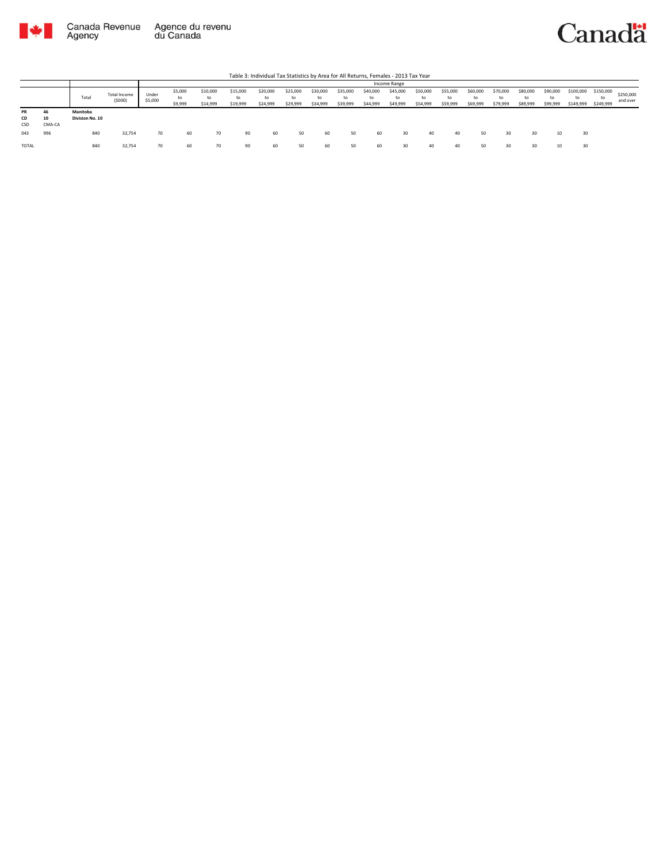



|                 |                    |                             |                               |                  |                          |                            |                            |                            |                            |                            |                            |                            | Income Range               |                            |                            |                            |                            |                            |                            |                              |                              |                       |
|-----------------|--------------------|-----------------------------|-------------------------------|------------------|--------------------------|----------------------------|----------------------------|----------------------------|----------------------------|----------------------------|----------------------------|----------------------------|----------------------------|----------------------------|----------------------------|----------------------------|----------------------------|----------------------------|----------------------------|------------------------------|------------------------------|-----------------------|
|                 |                    | Total                       | <b>Total Income</b><br>(5000) | Under<br>\$5,000 | \$5,000<br>to<br>\$9,999 | \$10,000<br>to<br>\$14,999 | \$15,000<br>to<br>\$19,999 | \$20,000<br>to<br>\$24,999 | \$25,000<br>to<br>\$29,999 | \$30,000<br>to<br>\$34,999 | \$35,000<br>to<br>\$39,999 | \$40,000<br>to<br>\$44,999 | \$45,000<br>to<br>\$49,999 | \$50,000<br>to<br>\$54,999 | \$55,000<br>to<br>\$59,999 | \$60,000<br>to<br>\$69,999 | \$70,000<br>to<br>\$79,999 | \$80,000<br>to<br>\$89,999 | \$90,000<br>to<br>\$99,999 | \$100,000<br>to<br>\$149,999 | \$150,000<br>to<br>\$249,999 | \$250,000<br>and over |
| PR<br>CD<br>CSD | 46<br>10<br>CMA-CA | Manitoba<br>Division No. 10 |                               |                  |                          |                            |                            |                            |                            |                            |                            |                            |                            |                            |                            |                            |                            |                            |                            |                              |                              |                       |
| 043             | 996                | 840                         | 32,754                        | 70               | 60                       | 70                         | 90                         | 60                         | 50                         | 60                         | 50                         | 60                         | 30                         | 40                         | 40                         | 50                         | 30                         | 30                         | 10                         | 30                           |                              |                       |
| TOTAL           |                    | 840                         | 32,754                        | 70               | 60                       |                            | 90                         | 60                         | 50                         | 60                         | 50                         | 60                         | 30                         | 40                         | 40                         | 50                         | 30                         | 30                         |                            | 30                           |                              |                       |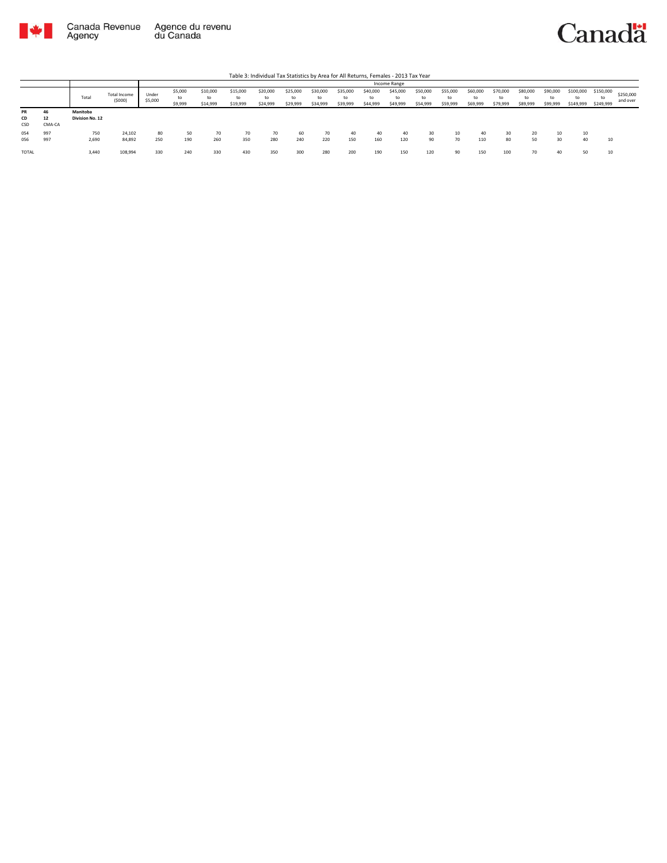

|                        |                    |                             |                        |                  |                          |                            |                            | Table 3: Individual Tax Statistics by Area for All Returns, Females - 2013 Tax Year |                            |                            |                            |                            |                            |                            |                            |                            |                            |                          |                      |                              |                              |                       |
|------------------------|--------------------|-----------------------------|------------------------|------------------|--------------------------|----------------------------|----------------------------|-------------------------------------------------------------------------------------|----------------------------|----------------------------|----------------------------|----------------------------|----------------------------|----------------------------|----------------------------|----------------------------|----------------------------|--------------------------|----------------------|------------------------------|------------------------------|-----------------------|
|                        |                    |                             |                        |                  |                          |                            |                            |                                                                                     |                            |                            |                            |                            | Income Range               |                            |                            |                            |                            |                          |                      |                              |                              |                       |
|                        |                    | Total                       | Total Income<br>(5000) | Under<br>\$5,000 | \$5,000<br>to<br>\$9,999 | \$10,000<br>to<br>\$14,999 | \$15,000<br>to<br>\$19,999 | \$20,000<br>to<br>\$24,999                                                          | \$25,000<br>to<br>\$29,999 | \$30,000<br>to<br>\$34,999 | \$35,000<br>to<br>\$39,999 | \$40,000<br>to<br>\$44,999 | \$45,000<br>to<br>\$49,999 | \$50,000<br>to<br>\$54,999 | \$55,000<br>to<br>\$59,999 | \$60,000<br>to<br>\$69,999 | \$70,000<br>to<br>\$79,999 | \$80,000<br>\$89,999     | \$90,000<br>\$99,999 | \$100,000<br>to<br>\$149,999 | \$150,000<br>to<br>\$249,999 | \$250,000<br>and over |
| <b>PR</b><br>CD<br>CSD | 46<br>12<br>CMA-CA | Manitoba<br>Division No. 12 |                        |                  |                          |                            |                            |                                                                                     |                            |                            |                            |                            |                            |                            |                            |                            |                            |                          |                      |                              |                              |                       |
| 054<br>056             | 997<br>997         | 750<br>2,690                | 24,102<br>84,892       | 80<br>250        | 50<br>190                | 70<br>260                  | 70<br>350                  | 70<br>280                                                                           | 60<br>240                  | 220                        | 40<br>150                  | 40<br>160                  | 40<br>120                  | 30<br>90                   | 10<br>70                   | 40<br>110                  | 30<br>80                   | 20<br>50                 | 20                   | 10<br>40                     | 10                           |                       |
| <b>TOTAL</b>           |                    | 3,440                       | 108,994                | 330              | 240                      | 330                        | 430                        | 350                                                                                 | 300                        | 280                        | 200                        | 190                        | 150                        | 120                        | 90                         | 150                        | 100                        | $\overline{\phantom{a}}$ |                      | 50                           | 10                           |                       |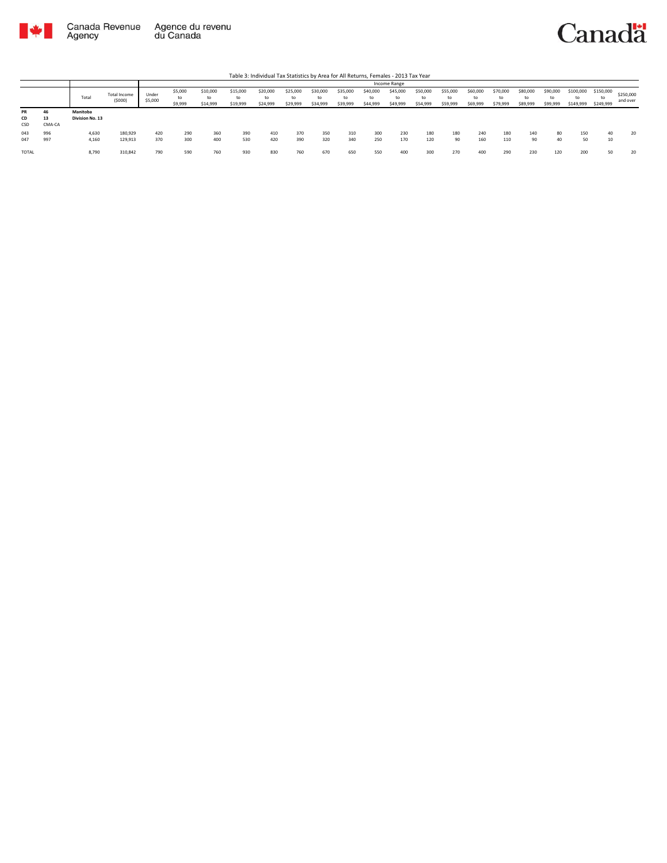

|                 |                    |                             |                        |                  |                          |                            |                            | Table 3: Individual Tax Statistics by Area for All Returns, Females - 2013 Tax Year |                            |                            |                            |                            |                            |                            |                            |                            |                            |                            |                            |                        |                              |                       |
|-----------------|--------------------|-----------------------------|------------------------|------------------|--------------------------|----------------------------|----------------------------|-------------------------------------------------------------------------------------|----------------------------|----------------------------|----------------------------|----------------------------|----------------------------|----------------------------|----------------------------|----------------------------|----------------------------|----------------------------|----------------------------|------------------------|------------------------------|-----------------------|
|                 |                    |                             |                        |                  |                          |                            |                            |                                                                                     |                            |                            |                            |                            | Income Range               |                            |                            |                            |                            |                            |                            |                        |                              |                       |
|                 |                    | Total                       | Total Income<br>(5000) | Under<br>\$5,000 | \$5,000<br>to<br>\$9,999 | \$10,000<br>to<br>\$14,999 | \$15,000<br>to<br>\$19,999 | \$20,000<br>to<br>\$24,999                                                          | \$25,000<br>to<br>\$29,999 | \$30,000<br>to<br>\$34,999 | \$35,000<br>to<br>\$39,999 | \$40,000<br>to<br>\$44,999 | \$45,000<br>to<br>\$49,999 | \$50,000<br>to<br>\$54,999 | \$55,000<br>to<br>\$59,999 | \$60,000<br>to<br>\$69,999 | \$70,000<br>to<br>\$79,999 | \$80,000<br>to<br>\$89,999 | \$90,000<br>to<br>\$99,999 | \$100,000<br>\$149,999 | \$150,000<br>to<br>\$249,999 | \$250,000<br>and over |
| PR<br>CD<br>CSD | 46<br>13<br>CMA-CA | Manitoba<br>Division No. 13 |                        |                  |                          |                            |                            |                                                                                     |                            |                            |                            |                            |                            |                            |                            |                            |                            |                            |                            |                        |                              |                       |
| 043<br>047      | 996<br>997         | 4,630<br>4,160              | 180,929<br>129,913     | 420<br>370       | 290<br>300               | 360<br>400                 | 390<br>530                 | 410<br>420                                                                          | 370<br>390                 | 350<br>320                 | 310<br>340                 | 300<br>250                 | 230<br>170                 | 180<br>120                 | 180<br>90                  | 240<br>160                 | 180<br>110                 | 140<br>90                  | 80<br>40                   | 150<br>50              | 40<br>10                     | 20                    |
| TOTAL           |                    | 8,790                       | 310,842                | 790              | 590                      | 760                        | 930                        | 830                                                                                 | 760                        | 670                        | 650                        | 550                        | 400                        | 300                        | 270                        | 400                        | 290                        | 230                        | 120                        | 200                    | 50                           | 20                    |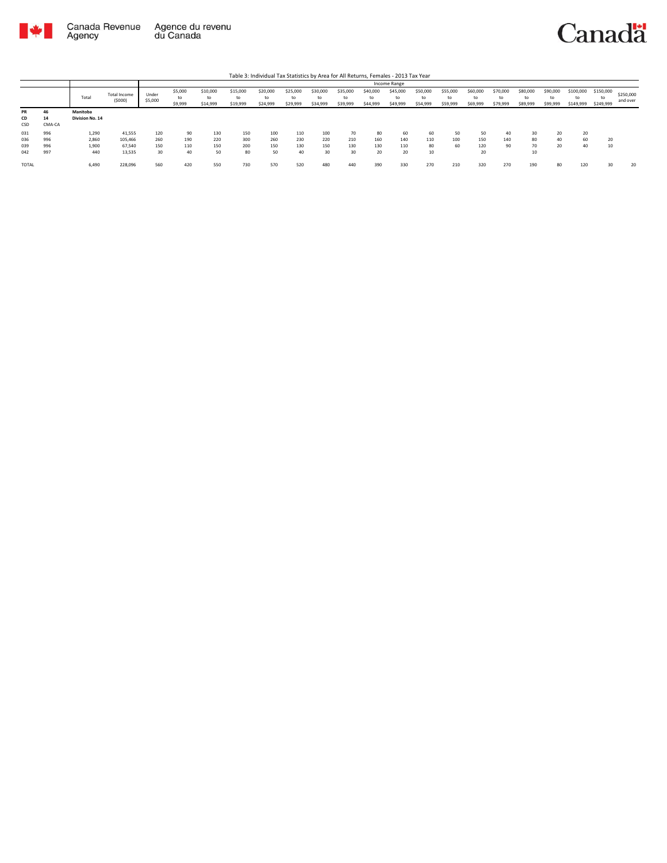

|              |        |                 |                               |                  |                          |                            |                            |                            |                            |                            |                            |                            | Income Range               |                            |                            |                            |                            |                            |                            |                        |                        |                       |
|--------------|--------|-----------------|-------------------------------|------------------|--------------------------|----------------------------|----------------------------|----------------------------|----------------------------|----------------------------|----------------------------|----------------------------|----------------------------|----------------------------|----------------------------|----------------------------|----------------------------|----------------------------|----------------------------|------------------------|------------------------|-----------------------|
|              |        | Total           | <b>Total Income</b><br>(5000) | Under<br>\$5,000 | \$5,000<br>to<br>\$9,999 | \$10,000<br>to<br>\$14,999 | \$15,000<br>to<br>\$19,999 | \$20,000<br>to<br>\$24,999 | \$25,000<br>to<br>\$29,999 | \$30,000<br>to<br>\$34,999 | \$35,000<br>to<br>\$39,999 | \$40,000<br>to<br>\$44,999 | \$45,000<br>to<br>\$49,999 | \$50,000<br>to<br>\$54,999 | \$55,000<br>to<br>\$59,999 | \$60,000<br>to<br>\$69,999 | \$70,000<br>to<br>\$79,999 | \$80,000<br>to<br>\$89,999 | \$90,000<br>to<br>\$99,999 | \$100,000<br>\$149,999 | \$150,000<br>\$249,999 | \$250,000<br>and over |
| <b>PR</b>    | 46     | Manitoba        |                               |                  |                          |                            |                            |                            |                            |                            |                            |                            |                            |                            |                            |                            |                            |                            |                            |                        |                        |                       |
| CD           | 14     | Division No. 14 |                               |                  |                          |                            |                            |                            |                            |                            |                            |                            |                            |                            |                            |                            |                            |                            |                            |                        |                        |                       |
| CSD          | CMA-CA |                 |                               |                  |                          |                            |                            |                            |                            |                            |                            |                            |                            |                            |                            |                            |                            |                            |                            |                        |                        |                       |
| 031          | 996    | 1,290           | 41,555                        | 120              | 90                       | 130                        | 150                        | 100                        | 110                        | 100                        | 70                         | 80                         | 60                         | 60                         | 50                         | 50                         | 40                         | 30                         | 20                         | 20                     |                        |                       |
| 036          | 996    | 2,860           | 105,466                       | 260              | 190                      | 220                        | 300                        | 260                        | 230                        | 220                        | 210                        | 160                        | 140                        | 110                        | 100                        | 150                        | 140                        | 80                         | 40                         | 60                     | $\sim$                 |                       |
| 039          | 996    | 1,900           | 67,540                        | 150              | 110                      | 150                        | 200                        | 150                        | 130                        | 150                        | 130                        | 130                        | 110                        | 80                         | 60                         | 120                        | 90                         | 70                         | 20                         | 40                     |                        |                       |
| 042          | 997    | 440             | 13,535                        | 30               | 40                       | 50                         | 80                         | 50                         | 40                         | 30                         | 30                         | 20                         | 20                         | 10                         |                            | 20                         |                            | 10                         |                            |                        |                        |                       |
| <b>TOTAL</b> |        | 6,490           | 228,096                       | 560              | 420                      | 550                        | 730                        | 570                        | 520                        | 480                        | 440                        | 390                        | 330                        | 270                        | 210                        | 320                        | 270                        | 190                        | 80                         | 120                    |                        | 20                    |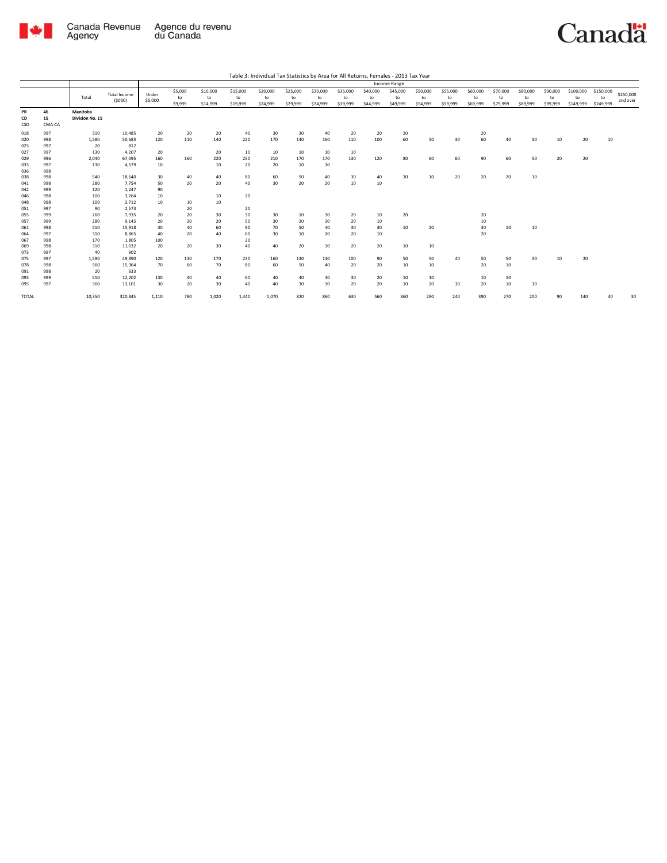

|                   |                    |                             |                          |                  |                          |                            |                            |                             |                            |                            |                            |                            | Income Range               |                            |                            |                            |                            |                            |                            |                              |                              |                       |
|-------------------|--------------------|-----------------------------|--------------------------|------------------|--------------------------|----------------------------|----------------------------|-----------------------------|----------------------------|----------------------------|----------------------------|----------------------------|----------------------------|----------------------------|----------------------------|----------------------------|----------------------------|----------------------------|----------------------------|------------------------------|------------------------------|-----------------------|
|                   |                    | Total                       | Total Income<br>(5000)   | Under<br>\$5,000 | \$5,000<br>to<br>\$9,999 | \$10,000<br>to<br>\$14,999 | \$15,000<br>to<br>\$19,999 | \$20,000<br>to<br>\$24,999  | \$25,000<br>to<br>\$29,999 | \$30,000<br>to<br>\$34,999 | \$35,000<br>to<br>\$39,999 | \$40,000<br>to<br>\$44,999 | \$45,000<br>to<br>\$49,999 | \$50,000<br>to<br>\$54,999 | \$55,000<br>to<br>\$59,999 | \$60,000<br>to<br>\$69,999 | \$70,000<br>to<br>\$79,999 | \$80,000<br>to<br>\$89,999 | \$90,000<br>to<br>\$99,999 | \$100,000<br>to<br>\$149,999 | \$150,000<br>to<br>\$249,999 | \$250,000<br>and over |
| PR<br>CD<br>CSD   | 46<br>15<br>CMA-CA | Manitoba<br>Division No. 15 |                          |                  |                          |                            |                            |                             |                            |                            |                            |                            |                            |                            |                            |                            |                            |                            |                            |                              |                              |                       |
| 018<br>020<br>023 | 997<br>998<br>997  | 310<br>1,580<br>20          | 10,485<br>50,683<br>812  | 20<br>120        | 20<br>110                | 20<br>140                  | 40<br>220                  | 30<br>170                   | 30<br>140                  | 40<br>160                  | 20<br>110                  | 20<br>100                  | 20<br>60                   | 50                         | 30                         | 20<br>60                   | 40                         | 30                         | 10                         | 20                           | 10                           |                       |
| 027<br>029<br>033 | 997<br>996<br>997  | 130<br>2,040<br>130         | 4,207<br>67.095<br>4,579 | 20<br>160<br>10  | 160                      | 20<br>220<br>10            | 10<br>250<br>20            | 10<br>210<br>20             | 10<br>170<br>10            | 10<br>170<br>10            | 10<br>130                  | 120                        | 80                         | 60                         | 60                         | 90                         | 60                         | 50                         | 20                         | 20                           |                              |                       |
| 036<br>038        | 998<br>998         | 540                         | 18,640                   | 30               | 40                       | 40                         | 80                         | 60                          | 50                         | 40                         | 30                         | 40                         | 30                         | 10                         | 20                         | 20                         | 20                         | 10                         |                            |                              |                              |                       |
| 041<br>042<br>046 | 998<br>999<br>998  | 280<br>120<br>100           | 7,754<br>1,247<br>3,264  | 50<br>90<br>10   | 20                       | 20<br>10                   | 40<br>20                   | 30                          | 20                         | 20                         | 10                         | 10                         |                            |                            |                            |                            |                            |                            |                            |                              |                              |                       |
| 048<br>051<br>055 | 998<br>997<br>999  | 100<br>90<br>260            | 2.712<br>2,573<br>7,935  | 10<br>20         | 10<br>20<br>20           | 10<br>30                   | 20<br>30                   | 30                          | 10                         | 30                         | 20                         | 10                         | 20                         |                            |                            | 20                         |                            |                            |                            |                              |                              |                       |
| 057<br>061<br>064 | 999<br>998<br>997  | 280<br>510<br>310           | 9.145<br>15,918<br>8.865 | 20<br>30<br>40   | 20<br>40<br>20           | 20<br>60<br>40             | 50<br>90<br>60             | 30 <sub>o</sub><br>70<br>30 | 20<br>50<br>10             | 30<br>40<br>20             | 20<br>30<br>20             | 10<br>30<br>10             | 10                         | 20                         |                            | 10<br>30<br>20             | 10                         | 10                         |                            |                              |                              |                       |
| 067<br>069<br>073 | 998<br>998<br>997  | 170<br>310<br>40            | 1.805<br>11,032<br>902   | 100<br>20        | 20                       | 30                         | 20<br>40                   | 40                          | 20                         | 30                         | 20                         | 20                         | 10                         | 10                         |                            |                            |                            |                            |                            |                              |                              |                       |
| 075<br>078        | 997<br>998<br>998  | 1,590<br>560<br>20          | 49.890<br>15,364<br>633  | 120<br>70        | 130<br>60                | 170<br>70                  | 230<br>80                  | 160<br>60                   | 130<br>50                  | 140<br>40                  | 100<br>20                  | 90<br>20                   | 50<br>10                   | 50<br>10                   | 40                         | 50<br>20                   | 50<br>10                   | 30                         | 10                         | 20                           |                              |                       |
| 091<br>093<br>095 | 999<br>997         | 510<br>360                  | 12,202<br>13,101         | 130<br>30        | 40<br>20                 | 40<br>30                   | 60<br>40                   | 40<br>40                    | 40<br>30                   | 40<br>30                   | 30<br>20                   | 20<br>20                   | 10<br>10                   | 10<br>20                   | 10                         | 10<br>20                   | 10<br>10                   | 10                         |                            |                              |                              |                       |
| TOTAL             |                    | 10,350                      | 320,845                  | 1,110            | 780                      | 1,020                      | 1.440                      | 1,070                       | 820                        | 860                        | 630                        | 560                        | 360                        | 290                        | 240                        | 390                        | 270                        | 200                        | 90                         | 140                          |                              | 30                    |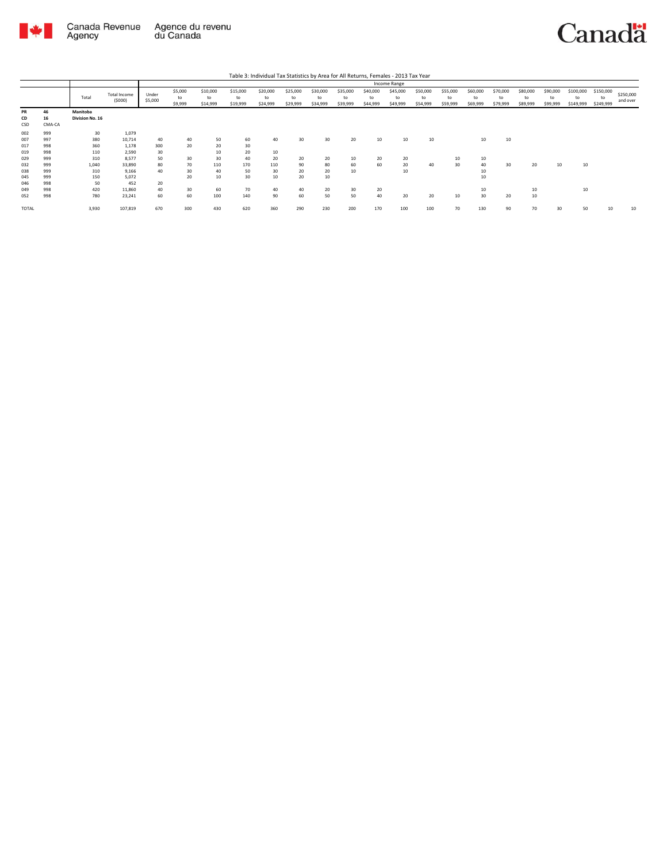

|                        |                    |                             |                        |                  |                          |                            |                            | Table 3: Individual Tax Statistics by Area for All Returns, Females - 2013 Tax Year |                            |                            |                            |                            |                            |                            |                            |                            |                            |                            |                            |                              |                              |                       |
|------------------------|--------------------|-----------------------------|------------------------|------------------|--------------------------|----------------------------|----------------------------|-------------------------------------------------------------------------------------|----------------------------|----------------------------|----------------------------|----------------------------|----------------------------|----------------------------|----------------------------|----------------------------|----------------------------|----------------------------|----------------------------|------------------------------|------------------------------|-----------------------|
|                        |                    |                             |                        |                  |                          |                            |                            |                                                                                     |                            |                            |                            |                            | Income Range               |                            |                            |                            |                            |                            |                            |                              |                              |                       |
|                        |                    | Total                       | Total Income<br>(5000) | Under<br>\$5,000 | \$5,000<br>to<br>\$9,999 | \$10,000<br>to<br>\$14,999 | \$15,000<br>to<br>\$19,999 | \$20,000<br>to<br>\$24,999                                                          | \$25,000<br>to<br>\$29,999 | \$30,000<br>to<br>\$34,999 | \$35,000<br>to<br>\$39,999 | \$40,000<br>to<br>\$44,999 | \$45,000<br>to<br>\$49,999 | \$50,000<br>to<br>\$54,999 | \$55,000<br>to<br>\$59,999 | \$60,000<br>to<br>\$69,999 | \$70,000<br>to<br>\$79,999 | \$80,000<br>to<br>\$89,999 | \$90,000<br>to<br>\$99,999 | \$100,000<br>to<br>\$149,999 | \$150,000<br>to<br>\$249,999 | \$250,000<br>and over |
| <b>PR</b><br>CD<br>CSD | 46<br>16<br>CMA-CA | Manitoba<br>Division No. 16 |                        |                  |                          |                            |                            |                                                                                     |                            |                            |                            |                            |                            |                            |                            |                            |                            |                            |                            |                              |                              |                       |
| 002                    | 999                | 30                          | 1,079                  |                  |                          |                            |                            |                                                                                     |                            |                            |                            |                            |                            |                            |                            |                            |                            |                            |                            |                              |                              |                       |
| 007                    | 997                | 380                         | 10.714                 | 40               | 40                       | 50                         | 60                         | 40                                                                                  | 30                         | 30                         | 20                         | 10                         | 10                         | 10                         |                            | 10                         | 10                         |                            |                            |                              |                              |                       |
| 017                    | 998                | 360                         | 1.178                  | 300              | 20                       | 20                         | 30                         |                                                                                     |                            |                            |                            |                            |                            |                            |                            |                            |                            |                            |                            |                              |                              |                       |
| 019                    | 998                | 110                         | 2.590                  | 30               |                          | 10                         | 20                         | 10                                                                                  |                            |                            |                            |                            |                            |                            |                            |                            |                            |                            |                            |                              |                              |                       |
| 029                    | 999                | 310                         | 8.577                  | 50               | 30                       | 30                         | 40                         | 20                                                                                  | 20                         | 20                         | 10                         | 20                         | 20                         |                            | 10                         | 10                         |                            |                            |                            |                              |                              |                       |
| 032                    | 999                | 1.040                       | 33,890                 | 80               | 70                       | 110                        | 170                        | 110                                                                                 | 90                         | 80                         | 60                         | 60                         | 20                         | 40                         | 30                         | 40                         | 30                         | 20                         | 10                         | 10                           |                              |                       |
| 038                    | 999                | 310                         | 9.166                  | 40               | 30                       | 40                         | 50                         | 30                                                                                  | 20                         | 20                         | 10                         |                            | 10                         |                            |                            | 10                         |                            |                            |                            |                              |                              |                       |
| 045                    | 999                | 150                         | 5.072                  |                  | 20                       | 10                         | 30                         | 10                                                                                  | 20                         | 10                         |                            |                            |                            |                            |                            | 10                         |                            |                            |                            |                              |                              |                       |
| 046                    | 998                | 50                          | 452                    | 20               |                          |                            |                            |                                                                                     |                            |                            |                            |                            |                            |                            |                            |                            |                            |                            |                            |                              |                              |                       |
| 049                    | 998                | 420                         | 11,860                 | 40               | 30                       | 60                         | 70                         | 40                                                                                  | 40                         | 20                         | 30                         | 20                         |                            |                            |                            | 10                         |                            | 10                         |                            | 10                           |                              |                       |
| 052                    | 998                | 780                         | 23,241                 | 60               | 60                       | 100                        | 140                        | 90                                                                                  | 60                         | 50                         | 50                         | 40                         | 20                         | 20                         | 10                         | 30 <sup>2</sup>            | 20                         | 10                         |                            |                              |                              |                       |
| <b>TOTAL</b>           |                    | 3,930                       | 107,819                | 670              | 300                      | 430                        | 620                        | 360                                                                                 | 290                        | 230                        | 200                        | 170                        | 100                        | 100                        | 70                         | 130                        | 90                         | 70                         | 30                         | 50                           | 10                           | 10                    |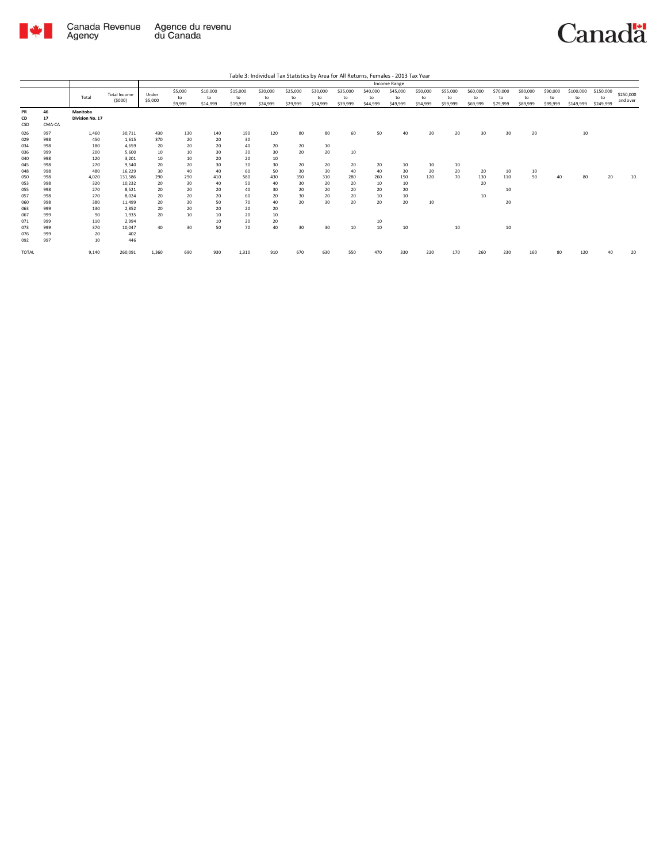

|                                                             |                                                             |                                                                 |                                                                                    |                                                       |                                                      |                                                      |                                                      |                                                |                                         |                                         |                                   |                             | Income Range                |                            |                            |                            |                            |                            |                            |                              |                              |                       |
|-------------------------------------------------------------|-------------------------------------------------------------|-----------------------------------------------------------------|------------------------------------------------------------------------------------|-------------------------------------------------------|------------------------------------------------------|------------------------------------------------------|------------------------------------------------------|------------------------------------------------|-----------------------------------------|-----------------------------------------|-----------------------------------|-----------------------------|-----------------------------|----------------------------|----------------------------|----------------------------|----------------------------|----------------------------|----------------------------|------------------------------|------------------------------|-----------------------|
|                                                             |                                                             | Total                                                           | Total Income<br>(5000)                                                             | Under<br>\$5,000                                      | \$5,000<br>to<br>\$9,999                             | \$10,000<br>to<br>\$14,999                           | \$15,000<br>to<br>\$19,999                           | \$20,000<br>to<br>\$24,999                     | \$25,000<br>to<br>\$29,999              | \$30,000<br>to<br>\$34,999              | \$35,000<br>to<br>\$39,999        | \$40,000<br>to<br>\$44,999  | \$45,000<br>to<br>\$49,999  | \$50,000<br>to<br>\$54,999 | \$55,000<br>to<br>\$59,999 | \$60,000<br>to<br>\$69,999 | \$70,000<br>to<br>\$79,999 | \$80,000<br>to<br>\$89,999 | \$90,000<br>to<br>\$99,999 | \$100,000<br>to<br>\$149,999 | \$150,000<br>to<br>\$249,999 | \$250,000<br>and over |
| PR<br>CD<br>CSD                                             | 46<br>17<br>CMA-CA                                          | Manitoba<br>Division No. 17                                     |                                                                                    |                                                       |                                                      |                                                      |                                                      |                                                |                                         |                                         |                                   |                             |                             |                            |                            |                            |                            |                            |                            |                              |                              |                       |
| 026<br>029<br>034<br>036<br>040<br>045<br>048<br>050<br>053 | 997<br>998<br>998<br>999<br>998<br>998<br>998<br>998<br>998 | 1,460<br>450<br>180<br>200<br>120<br>270<br>480<br>4,020<br>320 | 30,711<br>1,615<br>4,659<br>5.600<br>3,201<br>9,540<br>16,229<br>131.586<br>10,232 | 430<br>370<br>20<br>10<br>10<br>20<br>30<br>290<br>20 | 130<br>20<br>20<br>10<br>10<br>20<br>40<br>290<br>30 | 140<br>20<br>20<br>30<br>20<br>30<br>40<br>410<br>40 | 190<br>30<br>40<br>30<br>20<br>30<br>60<br>580<br>50 | 120<br>20<br>30<br>10<br>30<br>50<br>430<br>40 | 80<br>20<br>20<br>20<br>30<br>350<br>30 | 80<br>10<br>20<br>20<br>30<br>310<br>20 | 60<br>10<br>20<br>40<br>280<br>20 | 50<br>20<br>40<br>260<br>10 | 40<br>10<br>30<br>150<br>10 | 20<br>10<br>20<br>120      | 20<br>10<br>20<br>70       | 30<br>20<br>130<br>20      | 30<br>10<br>110            | 20<br>10<br>90             | 40                         | 10<br>80                     | 20                           | 10                    |
| 055<br>057<br>060<br>063<br>067<br>071<br>073<br>076<br>092 | 998<br>998<br>998<br>999<br>999<br>999<br>999<br>999<br>997 | 270<br>270<br>380<br>130<br>90<br>110<br>370<br>20<br>10        | 8.521<br>8.024<br>11.499<br>2,852<br>1.935<br>2,994<br>10.047<br>402<br>446        | 20<br>20<br>20<br>20<br>20<br>40                      | 20<br>20<br>30<br>20<br>10<br>30                     | 20<br>20<br>50<br>20<br>10<br>10<br>50               | 40<br>60<br>70<br>20<br>20<br>20<br>70               | 30<br>20<br>40<br>20<br>10<br>20<br>40         | 20<br>30<br>20<br>30                    | 20<br>20<br>30<br>30                    | 20<br>20<br>20<br>10              | 20<br>10<br>20<br>10<br>10  | 20<br>10<br>20<br>10        | 10                         | 10                         | 10                         | 10<br>20<br>10             |                            |                            |                              |                              |                       |
| <b>TOTAL</b>                                                |                                                             | 9,140                                                           | 260,091                                                                            | 1,360                                                 | 690                                                  | 930                                                  | 1,310                                                | 910                                            | 670                                     | 630                                     | 550                               | 470                         | 330                         | 220                        | 170                        | 260                        | 230                        | 160                        | 80                         | 120                          |                              | 20                    |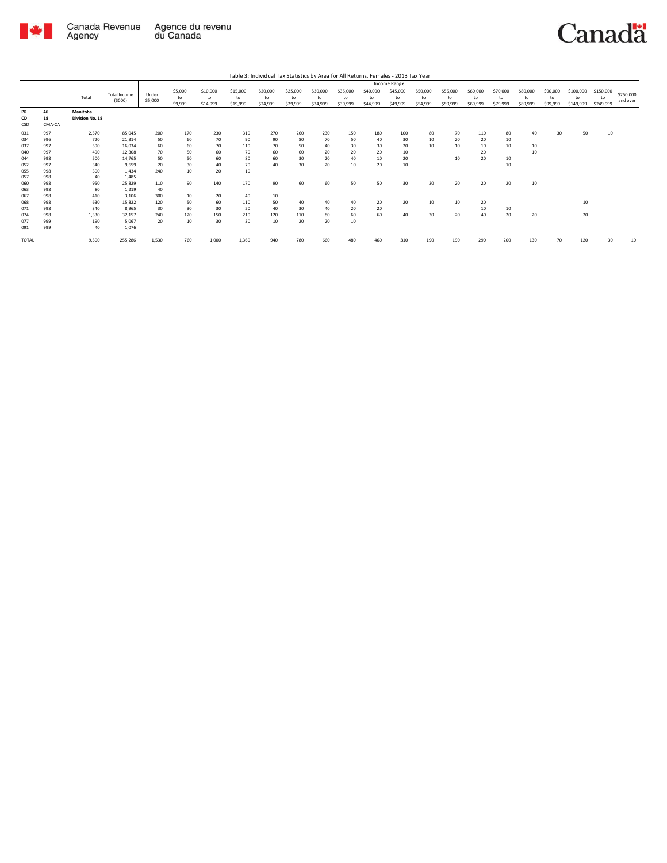

Total

|                               |                  |                          |                            |                            | Table 3: Individual Tax Statistics by Area for All Returns, Females - 2013 Tax Year |                            |                            |                            |                            |                            |                      |                            |                            |                            |                            |                            |                              |                              |                       |
|-------------------------------|------------------|--------------------------|----------------------------|----------------------------|-------------------------------------------------------------------------------------|----------------------------|----------------------------|----------------------------|----------------------------|----------------------------|----------------------|----------------------------|----------------------------|----------------------------|----------------------------|----------------------------|------------------------------|------------------------------|-----------------------|
|                               |                  |                          |                            |                            |                                                                                     |                            |                            |                            |                            | Income Range               |                      |                            |                            |                            |                            |                            |                              |                              |                       |
| <b>Total Income</b><br>(5000) | Under<br>\$5,000 | \$5,000<br>to<br>\$9,999 | \$10,000<br>to<br>\$14,999 | \$15,000<br>to<br>\$19,999 | \$20,000<br>to<br>\$24,999                                                          | \$25,000<br>to<br>\$29,999 | \$30,000<br>to<br>\$34,999 | \$35,000<br>to<br>\$39,999 | \$40,000<br>to<br>\$44,999 | \$45,000<br>to<br>\$49,999 | \$50,000<br>\$54,999 | \$55,000<br>to<br>\$59,999 | \$60,000<br>to<br>\$69,999 | \$70,000<br>to<br>\$79,999 | \$80,000<br>to<br>\$89,999 | \$90,000<br>to<br>\$99,999 | \$100,000<br>to<br>\$149,999 | \$150,000<br>to<br>\$249,999 | \$250,000<br>and over |
|                               |                  |                          |                            |                            |                                                                                     |                            |                            |                            |                            |                            |                      |                            |                            |                            |                            |                            |                              |                              |                       |

| PR<br>CD<br>CSD | 46<br>18<br>CMA-CA | Manitoba<br>Division No. 18 |         |       |     |       |       |     |     |     |     |     |     |     |     |     |     |     |    |     |    |    |
|-----------------|--------------------|-----------------------------|---------|-------|-----|-------|-------|-----|-----|-----|-----|-----|-----|-----|-----|-----|-----|-----|----|-----|----|----|
|                 |                    |                             |         |       |     |       |       |     |     |     |     |     |     |     |     |     |     |     |    |     |    |    |
| 031             | 997                | 2,570                       | 85,045  | 200   | 170 | 230   | 310   | 270 | 260 | 230 | 150 | 180 | 100 | 80  | 70  | 110 | 80  | 40  | 30 | 50  | 10 |    |
| 034             | 996                | 720                         | 21,314  | 50    | 60  | 70    | 90    | 90  | 80  | 70  | 50  | 40  | 30  | 10  | 20  | 20  | 10  |     |    |     |    |    |
| 037             | 997                | 590                         | 16,034  | 60    | 60  | 70    | 110   | 70  | 50  | 40  | 30  | 30  | 20  | 10  | 10  | 10  | 10  | 10  |    |     |    |    |
| 040             | 997                | 490                         | 12,308  | 70    | 50  | 60    | 70    | 60  | 60  | 20  | 20  | 20  | 10  |     |     | 20  |     | 10  |    |     |    |    |
| 044             | 998                | 500                         | 14,765  | 50    | 50  | 60    | 80    | 60  | 30  | 20  | 40  | 10  | 20  |     | 10  | 20  | 10  |     |    |     |    |    |
| 052             | 997                | 340                         | 9,659   | 20    | 30  | 40    | 70    | 40  | 30  | 20  | 10  | 20  | 10  |     |     |     | 10  |     |    |     |    |    |
| 055             | 998                | 300                         | 1.434   | 240   | 10  | 20    | 10    |     |     |     |     |     |     |     |     |     |     |     |    |     |    |    |
| 057             | 998                | 40                          | 1,485   |       |     |       |       |     |     |     |     |     |     |     |     |     |     |     |    |     |    |    |
| 060             | 998                | 950                         | 25,829  | 110   | 90  | 140   | 170   | 90  | 60  | 60  | 50  | 50  | 30  | 20  | 20  | 20  | 20  | 10  |    |     |    |    |
| 063             | 998                | 80                          | 1.219   | 40    |     |       |       |     |     |     |     |     |     |     |     |     |     |     |    |     |    |    |
| 067             | 998                | 410                         | 3.106   | 300   | 10  | 20    | 40    | 10  |     |     |     |     |     |     |     |     |     |     |    |     |    |    |
| 068             | 998                | 630                         | 15,822  | 120   | 50  | 60    | 110   | 50  | 40  | 40  | 40  | 20  | 20  | 10  | 10  | 20  |     |     |    | 10  |    |    |
| 071             | 998                | 340                         | 8,965   | 30    | 30  | 30    | 50    | 40  | 30  | 40  | 20  | 20  |     |     |     | 10  | 10  |     |    |     |    |    |
| 074             | 998                | 1.330                       | 32,157  | 240   | 120 | 150   | 210   | 120 | 110 | 80  | 60  | 60  | 40  | 30  | 20  | 40  | 20  | 20  |    | 20  |    |    |
| 077             | 999                | 190                         | 5,067   | 20    | 10  | 30    | 30    | 10  | 20  | 20  | 10  |     |     |     |     |     |     |     |    |     |    |    |
| 091             | 999                | 40                          | 1,076   |       |     |       |       |     |     |     |     |     |     |     |     |     |     |     |    |     |    |    |
|                 |                    |                             |         |       |     |       |       |     |     |     |     |     |     |     |     |     |     |     |    |     |    |    |
| TOTAL           |                    | 9.500                       | 255,286 | 1,530 | 760 | 1,000 | 1,360 | 940 | 780 | 660 | 480 | 460 | 310 | 190 | 190 | 290 | 200 | 130 | 70 | 120 | 30 | 10 |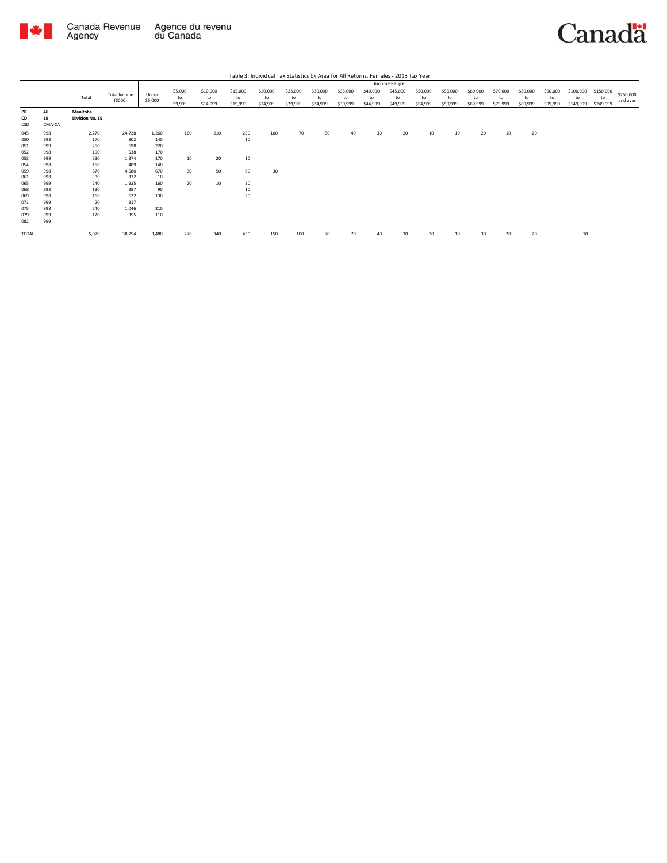



|                 |                    |                             |                        |                  |                          |                            |                            |                            |                            |                            |                            |                            | Income Range               |                            |                            |                            |                            |                            |                            |                              |                              |                       |
|-----------------|--------------------|-----------------------------|------------------------|------------------|--------------------------|----------------------------|----------------------------|----------------------------|----------------------------|----------------------------|----------------------------|----------------------------|----------------------------|----------------------------|----------------------------|----------------------------|----------------------------|----------------------------|----------------------------|------------------------------|------------------------------|-----------------------|
|                 |                    | Total                       | Total Income<br>(5000) | Under<br>\$5,000 | \$5,000<br>to<br>\$9,999 | \$10,000<br>to<br>\$14,999 | \$15,000<br>to<br>\$19,999 | \$20,000<br>to<br>\$24,999 | \$25,000<br>to<br>\$29,999 | \$30,000<br>to<br>\$34,999 | \$35,000<br>to<br>\$39,999 | \$40,000<br>to<br>\$44,999 | \$45,000<br>to<br>\$49,999 | \$50,000<br>to<br>\$54,999 | \$55,000<br>to<br>\$59,999 | \$60,000<br>to<br>\$69,999 | \$70,000<br>to<br>\$79,999 | \$80,000<br>to<br>\$89,999 | \$90,000<br>to<br>\$99,999 | \$100,000<br>to<br>\$149,999 | \$150,000<br>to<br>\$249,999 | \$250,000<br>and over |
| PR<br>CD<br>CSD | 46<br>19<br>CMA-CA | Manitoba<br>Division No. 19 |                        |                  |                          |                            |                            |                            |                            |                            |                            |                            |                            |                            |                            |                            |                            |                            |                            |                              |                              |                       |
| 045             | 998                | 2,270                       | 24,728                 | 1,260            | 160                      | 210                        | 250                        | 100                        | 70                         | 50                         | 40                         | 30                         | 20                         | 10                         | 10                         | 20                         | 10                         | 20                         |                            |                              |                              |                       |
| 050             | 998                | 170                         | 802                    | 140              |                          |                            | 10                         |                            |                            |                            |                            |                            |                            |                            |                            |                            |                            |                            |                            |                              |                              |                       |
| 051             | 999                | 250                         | 698                    | 220              |                          |                            |                            |                            |                            |                            |                            |                            |                            |                            |                            |                            |                            |                            |                            |                              |                              |                       |
| 052             | 998                | 190                         | 538                    | 170              |                          |                            |                            |                            |                            |                            |                            |                            |                            |                            |                            |                            |                            |                            |                            |                              |                              |                       |
| 053             | 999                | 230                         | 1,374                  | 170              | 10                       | 20                         | 10                         |                            |                            |                            |                            |                            |                            |                            |                            |                            |                            |                            |                            |                              |                              |                       |
| 054             | 998                | 150                         | 409                    | 140              |                          |                            |                            |                            |                            |                            |                            |                            |                            |                            |                            |                            |                            |                            |                            |                              |                              |                       |
| 059             | 998                | 870                         | 4,580                  | 670              | 30                       | 50                         | 60                         | 30                         |                            |                            |                            |                            |                            |                            |                            |                            |                            |                            |                            |                              |                              |                       |
| 061             | 998                | 30                          | 372                    | 10               |                          |                            |                            |                            |                            |                            |                            |                            |                            |                            |                            |                            |                            |                            |                            |                              |                              |                       |
| 065             | 999                | 240                         | 1,925                  | 160              | 20                       | 10                         | 30                         |                            |                            |                            |                            |                            |                            |                            |                            |                            |                            |                            |                            |                              |                              |                       |
| 068             | 998                | 130                         | 987                    | 90               |                          |                            | 10                         |                            |                            |                            |                            |                            |                            |                            |                            |                            |                            |                            |                            |                              |                              |                       |
| 069             | 998                | 160                         | 622                    | 130              |                          |                            | 20                         |                            |                            |                            |                            |                            |                            |                            |                            |                            |                            |                            |                            |                              |                              |                       |
| 071             | 999                | 20                          | 317                    |                  |                          |                            |                            |                            |                            |                            |                            |                            |                            |                            |                            |                            |                            |                            |                            |                              |                              |                       |
| 075             | 998                | 240                         | 1,046                  | 210              |                          |                            |                            |                            |                            |                            |                            |                            |                            |                            |                            |                            |                            |                            |                            |                              |                              |                       |
| 079             | 999                | 120                         | 355                    | 110              |                          |                            |                            |                            |                            |                            |                            |                            |                            |                            |                            |                            |                            |                            |                            |                              |                              |                       |
| 082             | 999                |                             |                        |                  |                          |                            |                            |                            |                            |                            |                            |                            |                            |                            |                            |                            |                            |                            |                            |                              |                              |                       |
| TOTAL           |                    | 5,070                       | 38,754                 | 3,480            | 270                      | 340                        | 430                        | 150                        | 100                        | 70                         | 70                         | 40                         | 30                         | 20                         | 10                         | 30                         | 20                         | 20                         |                            | 10                           |                              |                       |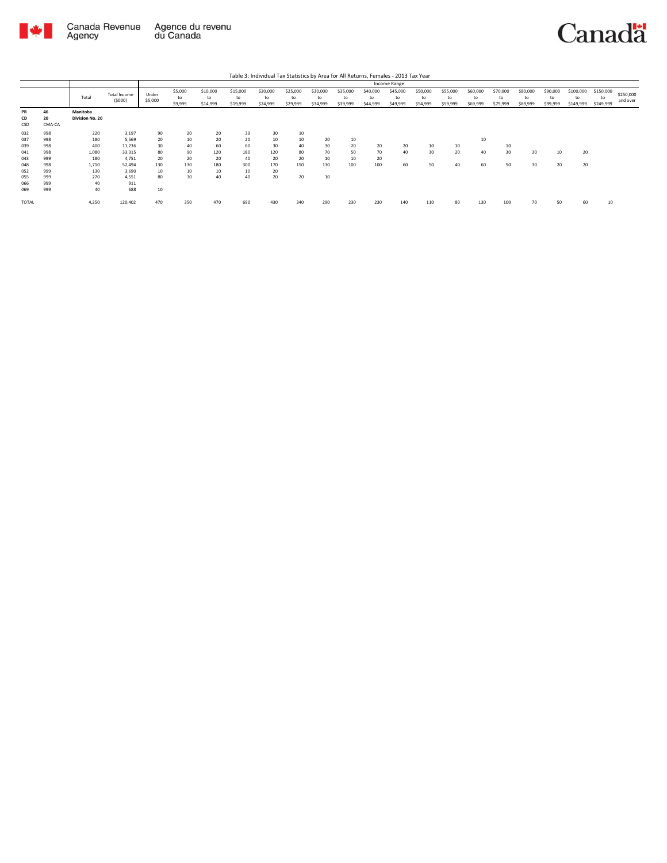

|                        |                    |                             |                        |                  |                          |                            |                            | Table 3: Individual Tax Statistics by Area for All Returns, Females - 2013 Tax Year |                            |                            |                            |                            |                            |                            |                            |                            |                            |                            |                            |                              |                              |                       |
|------------------------|--------------------|-----------------------------|------------------------|------------------|--------------------------|----------------------------|----------------------------|-------------------------------------------------------------------------------------|----------------------------|----------------------------|----------------------------|----------------------------|----------------------------|----------------------------|----------------------------|----------------------------|----------------------------|----------------------------|----------------------------|------------------------------|------------------------------|-----------------------|
|                        |                    |                             |                        |                  |                          |                            |                            |                                                                                     |                            |                            |                            |                            | Income Range               |                            |                            |                            |                            |                            |                            |                              |                              |                       |
|                        |                    | Total                       | Total Income<br>(5000) | Under<br>\$5,000 | \$5,000<br>to<br>\$9,999 | \$10,000<br>to<br>\$14,999 | \$15,000<br>to<br>\$19,999 | \$20,000<br>to<br>\$24,999                                                          | \$25,000<br>to<br>\$29,999 | \$30,000<br>to<br>\$34,999 | \$35,000<br>to<br>\$39,999 | \$40,000<br>to<br>\$44,999 | \$45,000<br>to<br>\$49,999 | \$50,000<br>to<br>\$54,999 | \$55,000<br>to<br>\$59,999 | \$60,000<br>to<br>\$69,999 | \$70,000<br>to<br>\$79,999 | \$80,000<br>to<br>\$89,999 | \$90,000<br>to<br>\$99,999 | \$100,000<br>to<br>\$149,999 | \$150,000<br>to<br>\$249,999 | \$250,000<br>and over |
| <b>PR</b><br>CD<br>CSD | 46<br>20<br>CMA-CA | Manitoba<br>Division No. 20 |                        |                  |                          |                            |                            |                                                                                     |                            |                            |                            |                            |                            |                            |                            |                            |                            |                            |                            |                              |                              |                       |
| 032<br>037             | 998<br>998         | 220<br>180                  | 3,197<br>5.569         | 90<br>20         | 20<br>10                 | 20<br>20                   | 30<br>20                   | 30<br>10                                                                            | 10<br>10                   | 20                         | 10                         |                            |                            |                            |                            | 10                         |                            |                            |                            |                              |                              |                       |
| 039<br>041             | 998<br>998         | 400<br>1,080                | 11,236<br>33.315       | 30<br>80         | 40<br>90                 | 60<br>120                  | 60<br>180                  | 30<br>120                                                                           | 40<br>80                   | 30<br>70                   | 20<br>50                   | 20<br>70                   | 20<br>40                   | 10<br>30                   | 10<br>20                   | 40                         | 10<br>30                   | 30                         | 10                         | 20                           |                              |                       |
| 043                    | 999                | 180                         | 4.751                  | 20               | 20                       | 20                         | 40                         | 20                                                                                  | 20                         | 10                         | 10                         | 20                         |                            |                            |                            |                            |                            |                            |                            |                              |                              |                       |
| 048<br>052             | 998<br>999         | 1.710<br>130                | 52.494<br>3.690        | 130<br>10        | 130<br>10                | 180<br>10                  | 300<br>10                  | 170<br>20                                                                           | 150                        | 130                        | 100                        | 100                        | 60                         | 50                         | 40                         | 60                         | 50                         | 30                         | 20                         | 20                           |                              |                       |
| 055<br>066             | 999<br>999         | 270<br>40                   | 4.551<br>911           | 80               | 30                       | 40                         | 40                         | 20                                                                                  | 20                         | 10                         |                            |                            |                            |                            |                            |                            |                            |                            |                            |                              |                              |                       |
| 069                    | 999                | 40                          | 688                    | 10               |                          |                            |                            |                                                                                     |                            |                            |                            |                            |                            |                            |                            |                            |                            |                            |                            |                              |                              |                       |
| TOTAL                  |                    | 4,250                       | 120,402                | 470              | 350                      | 470                        | 690                        | 430                                                                                 | 340                        | 290                        | 230                        | 230                        | 140                        | 110                        | 80                         | 130                        | 100                        | 70                         | 50                         | 60                           | 10                           |                       |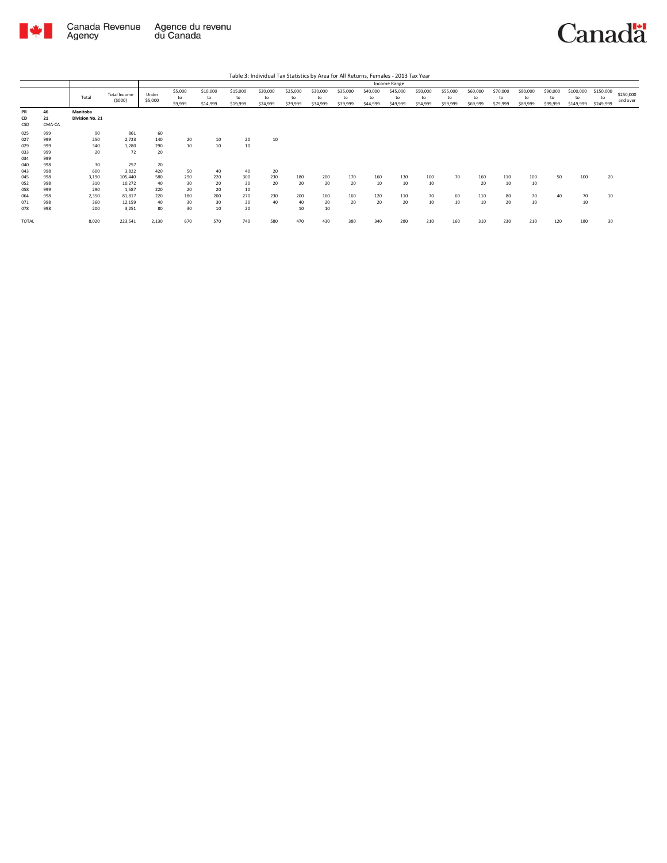

Agency

Agence du revenu<br>du Canada Canada Revenue

Canadä

Total Total Income (\$000) Under \$5,000 \$5,000 to \$9,999 \$10,000 to \$14,999 \$15,000 to \$19,999 \$20,000 to \$24,999 \$25,000 to \$29,999 \$30,000 to \$34,999 \$35,000 to \$39,999 \$40,000 to \$44,999 \$45,000 to \$49,999 \$50,000 to \$54,999 \$55,000 to \$59,999 \$60,000 to \$69,999 \$70,000 to \$79,999 \$80,000 to \$89,999 \$90,000 to \$99,999 \$100,000 to \$149,999 \$150,000 to \$249,999 \$250,000 and over Table 3: Individual Tax Statistics by Area for All Returns, Females - 2013 Tax Year Income Range **PR 46 Manitoba CD 21 Division No. 21 PR** 46<br>CSD 21<br>025 999<br>027 9999<br>033 9999<br>044 998<br>044 998<br>052 998<br>054 998<br>054 998 025 999 90 861 60 027 999 250 2,723 140 20 10 20 10 029 999 340 1,280 290 10 10 10 033 999 20 72 20 999<br>999 999 998<br>998 998 998<br>998 998<br>998 998  $\begin{array}{cccc} 30 & 257 & 20 \\ 600 & 3,822 & 420 \\ 3,190 & 105,440 & 580 \\ 310 & 10,272 & 40 \\ 290 & 1,587 & 220 \\ 2,350 & 81,817 & 220 \\ 360 & 12,159 & 40 \\ 200 & 3,251 & 80 \end{array}$ 043 998 600 3,822 420 50 40 40 20 045 998 3,190 105,440 580 290 220 300 230 180 200 170 160 130 100 70 160 110 100 50 100 20 052 998 310 10,272 40 30 20 30 20 20 20 20 10 10 10 20 10 10 058 999 290 1,587 220 20 20 10 064 998 2,350 81,817 220 180 200 270 230 200 160 160 120 110 70 60 110 80 70 40 70 10 071 998 360 12,159 40 30 30 30 40 40 20 20 20 20 10 10 10 20 10 10 078 998 200 3,251 80 30 10 20 10 10 TOTAL 8,020 223,541 2,130 670 570 740 580 470 430 380 340 280 210 160 310 230 210 120 180 30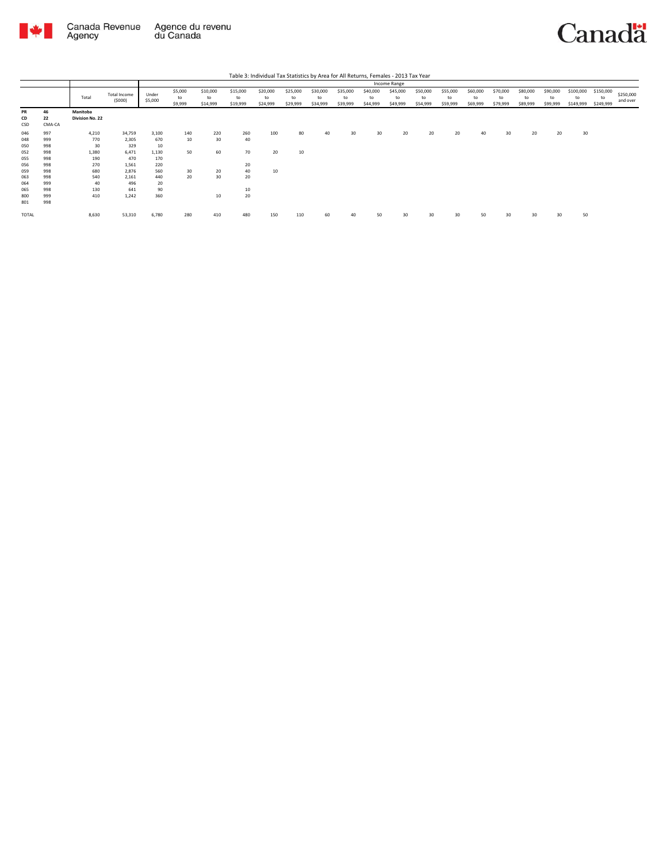

|                                                      |                                                      |                                                         |                                                                   |                                                         |                             |                             |                                   |                            |                            |                            |                            |                            | Income Range               |                            |                            |                            |                            |                            |                            |                              |                              |                       |
|------------------------------------------------------|------------------------------------------------------|---------------------------------------------------------|-------------------------------------------------------------------|---------------------------------------------------------|-----------------------------|-----------------------------|-----------------------------------|----------------------------|----------------------------|----------------------------|----------------------------|----------------------------|----------------------------|----------------------------|----------------------------|----------------------------|----------------------------|----------------------------|----------------------------|------------------------------|------------------------------|-----------------------|
|                                                      |                                                      | Total                                                   | Total Income<br>(5000)                                            | Under<br>\$5,000                                        | \$5,000<br>to<br>\$9,999    | \$10,000<br>to<br>\$14,999  | \$15,000<br>to<br>\$19,999        | \$20,000<br>to<br>\$24,999 | \$25,000<br>to<br>\$29,999 | \$30,000<br>to<br>\$34,999 | \$35,000<br>to<br>\$39,999 | \$40,000<br>to<br>\$44,999 | \$45,000<br>to<br>\$49,999 | \$50,000<br>to<br>\$54,999 | \$55,000<br>to<br>\$59,999 | \$60,000<br>to<br>\$69,999 | \$70,000<br>to<br>\$79,999 | \$80,000<br>to<br>\$89,999 | \$90,000<br>to<br>\$99,999 | \$100,000<br>to<br>\$149,999 | \$150,000<br>to<br>\$249,999 | \$250,000<br>and over |
| <b>PR</b><br>CD<br>CSD                               | 46<br>22<br>CMA-CA                                   | Manitoba<br>Division No. 22                             |                                                                   |                                                         |                             |                             |                                   |                            |                            |                            |                            |                            |                            |                            |                            |                            |                            |                            |                            |                              |                              |                       |
| 046<br>048<br>050<br>052<br>055<br>056<br>059<br>063 | 997<br>999<br>998<br>998<br>998<br>998<br>998<br>998 | 4,210<br>770<br>30<br>1,380<br>190<br>270<br>680<br>540 | 34,759<br>2,305<br>329<br>6,471<br>470<br>1,561<br>2,876<br>2,161 | 3,100<br>670<br>10<br>1,130<br>170<br>220<br>560<br>440 | 140<br>10<br>50<br>30<br>20 | 220<br>30<br>60<br>20<br>30 | 260<br>40<br>70<br>20<br>40<br>20 | 100<br>20<br>10            | 80<br>10                   |                            | 30                         | 30                         | 20                         | 20                         | 20                         | 40                         | 30                         | 20                         | 20                         | 30                           |                              |                       |
| 064<br>065<br>800<br>801<br>TOTAL                    | 999<br>998<br>999<br>998                             | 40<br>130<br>410<br>8,630                               | 496<br>641<br>1,242<br>53,310                                     | 20<br>90<br>360<br>6,780                                | 280                         | 10<br>410                   | 10<br>20<br>480                   | 150                        | 110                        | 60                         | 40                         | 50                         | 30                         | 30                         | 30                         | 50                         | 30                         | 30                         | 30                         | 50                           |                              |                       |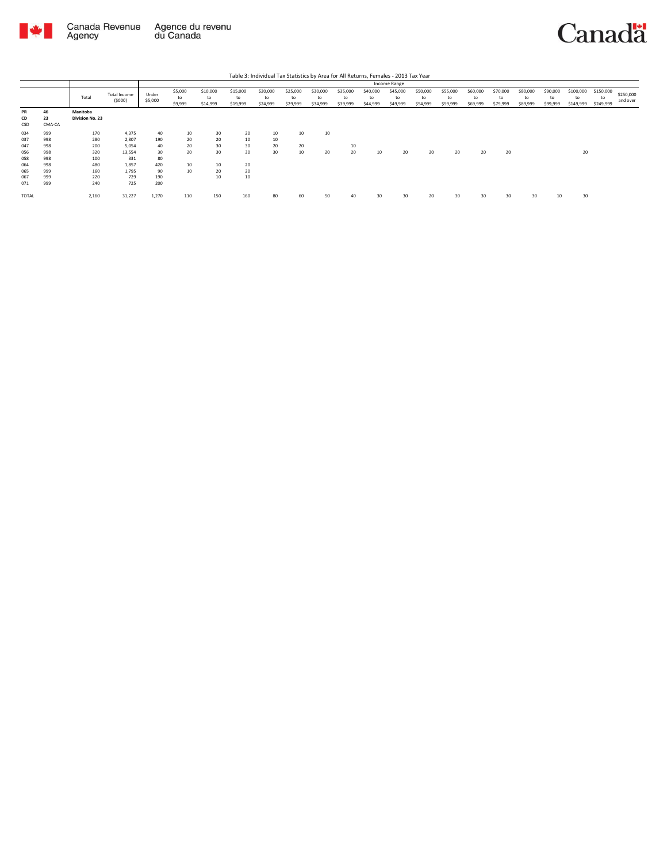

|                 |                    |                             |                        |                  |                          |                            |                            | Table 3: Individual Tax Statistics by Area for All Returns, Females - 2013 Tax Year |                            |                            |                            |                            |                            |                            |                            |                            |                            |                            |                            |                              |                              |                       |
|-----------------|--------------------|-----------------------------|------------------------|------------------|--------------------------|----------------------------|----------------------------|-------------------------------------------------------------------------------------|----------------------------|----------------------------|----------------------------|----------------------------|----------------------------|----------------------------|----------------------------|----------------------------|----------------------------|----------------------------|----------------------------|------------------------------|------------------------------|-----------------------|
|                 |                    |                             |                        | Income Range     |                          |                            |                            |                                                                                     |                            |                            |                            |                            |                            |                            |                            |                            |                            |                            |                            |                              |                              |                       |
|                 |                    | Total                       | Total Income<br>(5000) | Under<br>\$5,000 | \$5,000<br>to<br>\$9,999 | \$10,000<br>to<br>\$14,999 | \$15,000<br>to<br>\$19,999 | \$20,000<br>to<br>\$24,999                                                          | \$25,000<br>to<br>\$29,999 | \$30,000<br>to<br>\$34,999 | \$35,000<br>to<br>\$39,999 | \$40,000<br>to<br>\$44,999 | \$45,000<br>to<br>\$49,999 | \$50,000<br>to<br>\$54,999 | \$55,000<br>to<br>\$59,999 | \$60,000<br>to<br>\$69,999 | \$70,000<br>to<br>\$79,999 | \$80,000<br>to<br>\$89,999 | \$90,000<br>to<br>\$99,999 | \$100,000<br>to<br>\$149,999 | \$150,000<br>to<br>\$249,999 | \$250,000<br>and over |
| PR<br>CD<br>CSD | 46<br>23<br>CMA-CA | Manitoba<br>Division No. 23 |                        |                  |                          |                            |                            |                                                                                     |                            |                            |                            |                            |                            |                            |                            |                            |                            |                            |                            |                              |                              |                       |
| 034<br>037      | 999<br>998         | 170<br>280                  | 4,375<br>2,807         | 40<br>190        | 10<br>20                 | 30<br>20                   | 20<br>10                   | 10<br>10                                                                            | 10                         | 10                         |                            |                            |                            |                            |                            |                            |                            |                            |                            |                              |                              |                       |
| 047<br>056      | 998<br>998         | 200<br>320                  | 5.054<br>13.554        | 40<br>30         | 20<br>20                 | 30<br>30                   | 30<br>30                   | 20<br>30                                                                            | 20<br>10                   | 20                         | 10<br>20                   | 10                         | 20                         | 20                         | 20                         | 20                         | 20                         |                            |                            | 20                           |                              |                       |
| 058             | 998                | 100                         | 331                    | 80               |                          |                            |                            |                                                                                     |                            |                            |                            |                            |                            |                            |                            |                            |                            |                            |                            |                              |                              |                       |
| 064<br>065      | 998<br>999         | 480<br>160                  | 1,857<br>1,795         | 420<br>90        | 10<br>10                 | 10<br>20                   | 20<br>20                   |                                                                                     |                            |                            |                            |                            |                            |                            |                            |                            |                            |                            |                            |                              |                              |                       |
| 067<br>071      | 999<br>999         | 220<br>240                  | 729<br>725             | 190<br>200       |                          | 10                         | 10                         |                                                                                     |                            |                            |                            |                            |                            |                            |                            |                            |                            |                            |                            |                              |                              |                       |
| <b>TOTAL</b>    |                    | 2,160                       | 31,227                 | 1,270            | 110                      | 150                        | 160                        | 80                                                                                  | 60                         | 50                         | 40                         | 30                         | 30                         | 20                         | $30^{\circ}$               | 30                         |                            | 30                         | 10                         | 30                           |                              |                       |